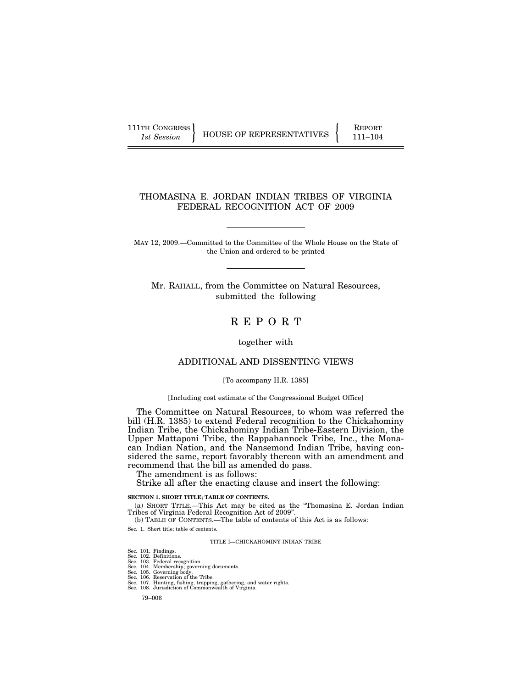111TH CONGRESS HOUSE OF REPRESENTATIVES FEPORT 111-104

# THOMASINA E. JORDAN INDIAN TRIBES OF VIRGINIA FEDERAL RECOGNITION ACT OF 2009

MAY 12, 2009.—Committed to the Committee of the Whole House on the State of the Union and ordered to be printed

Mr. RAHALL, from the Committee on Natural Resources, submitted the following

# R E P O R T

together with

# ADDITIONAL AND DISSENTING VIEWS

[To accompany H.R. 1385]

#### [Including cost estimate of the Congressional Budget Office]

The Committee on Natural Resources, to whom was referred the bill (H.R. 1385) to extend Federal recognition to the Chickahominy Indian Tribe, the Chickahominy Indian Tribe-Eastern Division, the Upper Mattaponi Tribe, the Rappahannock Tribe, Inc., the Monacan Indian Nation, and the Nansemond Indian Tribe, having considered the same, report favorably thereon with an amendment and recommend that the bill as amended do pass.

The amendment is as follows:

Strike all after the enacting clause and insert the following:

### **SECTION 1. SHORT TITLE; TABLE OF CONTENTS.**

(a) SHORT TITLE.—This Act may be cited as the ''Thomasina E. Jordan Indian Tribes of Virginia Federal Recognition Act of 2009''.

(b) TABLE OF CONTENTS.—The table of contents of this Act is as follows:

Sec. 1. Short title; table of contents.

#### TITLE I—CHICKAHOMINY INDIAN TRIBE

Sec. 101. Findings.

- 
- 
- 
- Sec. 102. Definitions.<br>Sec. 103. Federal recognition.<br>Sec. 104. Membership; governing documents.<br>Sec. 105. Governing body.<br>Sec. 106. Reservation of the Tribe.<br>Sec. 107. Hunting, fishing, trapping, gathering, and water righ
	- 79–006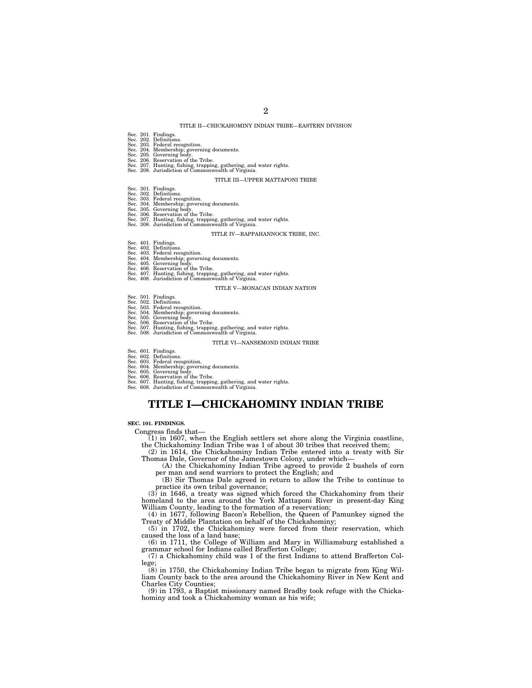#### TITLE II—CHICKAHOMINY INDIAN TRIBE—EASTERN DIVISION

- Sec. 201. Findings. Sec. 202. Definitions.
- 
- 
- 
- Sec. 203. Federal recognition.<br>Sec. 204. Membership; governing documents.<br>Sec. 205. Governing body.<br>Sec. 206. Reservation of the Tribe.<br>Sec. 207. Hunting, fishing, trapping, gathering, and water rights.<br>Sec. 208. Jurisdict

#### TITLE III—UPPER MATTAPONI TRIBE

- 
- 
- 
- 
- 
- Sec. 301. Findings.<br>Sec. 302. Definitions.<br>Sec. 303. Pederal recognition.<br>Sec. 304. Membership; governing documents.<br>Sec. 305. Governing body.<br>Sec. 306. Reservation of the Tribe.<br>Sec. 307. Hunting, fishing, trapping, gathe

#### TITLE IV—RAPPAHANNOCK TRIBE, INC.

- 
- 
- 
- 
- 
- Sec. 401. Findings.<br>Sec. 402. Definitions.<br>Sec. 403. Federal recognition.<br>Sec. 404. Membership; governing documents.<br>Sec. 405. Governing body.<br>Sec. 406. Reservation of the Tribe.<br>Sec. 406. Jurisdiction of Commonwealth of V
	-

#### TITLE V—MONACAN INDIAN NATION

- 
- 
- 
- 
- 
- Sec. 501. Findings.<br>Sec. 502. Definitions.<br>Sec. 503. Pederal recognition.<br>Sec. 504. Membership; governing documents.<br>Sec. 505. Governing body.<br>Sec. 506. Reservation of the Tribe.<br>Sec. 507. Hunting, fishing, trapping, gathe

#### TITLE VI—NANSEMOND INDIAN TRIBE

- 
- 
- Sec. 601. Findings. Sec. 602. Definitions. Sec. 603. Federal recognition. Sec. 604. Membership; governing documents. Sec. 605. Governing body. Sec. 606. Reservation of the Tribe.
- 
- 
- Sec. 607. Hunting, fishing, trapping, gathering, and water rights. Sec. 608. Jurisdiction of Commonwealth of Virginia.

# **TITLE I—CHICKAHOMINY INDIAN TRIBE**

#### **SEC. 101. FINDINGS.**

Congress finds that—

(1) in 1607, when the English settlers set shore along the Virginia coastline, the Chickahominy Indian Tribe was 1 of about 30 tribes that received them;<br>(2) in 1614, the Chickahominy Indian Tribe entered into a treaty wi

per man and send warriors to protect the English; and

(B) Sir Thomas Dale agreed in return to allow the Tribe to continue to practice its own tribal governance;

 $(3)$  in 1646, a treaty was signed which forced the Chickahominy from their homeland to the area around the York Mattaponi River in present-day King William County, leading to the formation of a reservation;

(4) in 1677, following Bacon's Rebellion, the Queen of Pamunkey signed the Treaty of Middle Plantation on behalf of the Chickahominy;

(5) in 1702, the Chickahominy were forced from their reservation, which caused the loss of a land base;

(6) in 1711, the College of William and Mary in Williamsburg established a grammar school for Indians called Brafferton College;

(7) a Chickahominy child was 1 of the first Indians to attend Brafferton College;

(8) in 1750, the Chickahominy Indian Tribe began to migrate from King William County back to the area around the Chickahominy River in New Kent and Charles City Counties;

(9) in 1793, a Baptist missionary named Bradby took refuge with the Chickahominy and took a Chickahominy woman as his wife;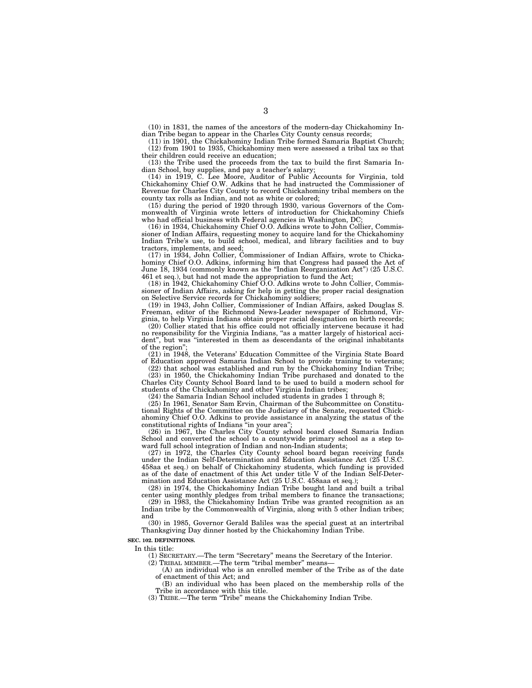(10) in 1831, the names of the ancestors of the modern-day Chickahominy Indian Tribe began to appear in the Charles City County census records;

(11) in 1901, the Chickahominy Indian Tribe formed Samaria Baptist Church; (12) from 1901 to 1935, Chickahominy men were assessed a tribal tax so that their children could receive an education;

(13) the Tribe used the proceeds from the tax to build the first Samaria Indian School, buy supplies, and pay a teacher's salary;

(14) in 1919, C. Lee Moore, Auditor of Public Accounts for Virginia, told Chickahominy Chief O.W. Adkins that he had instructed the Commissioner of Revenue for Charles City County to record Chickahominy tribal members on the county tax rolls as Indian, and not as white or colored;

(15) during the period of 1920 through 1930, various Governors of the Commonwealth of Virginia wrote letters of introduction for Chickahominy Chiefs who had official business with Federal agencies in Washington, DC;

(16) in 1934, Chickahominy Chief O.O. Adkins wrote to John Collier, Commissioner of Indian Affairs, requesting money to acquire land for the Chickahominy Indian Tribe's use, to build school, medical, and library facilities and to buy tractors, implements, and seed;

(17) in 1934, John Collier, Commissioner of Indian Affairs, wrote to Chickahominy Chief O.O. Adkins, informing him that Congress had passed the Act of June 18, 1934 (commonly known as the ''Indian Reorganization Act'') (25 U.S.C. 461 et seq.), but had not made the appropriation to fund the Act;

(18) in 1942, Chickahominy Chief O.O. Adkins wrote to John Collier, Commissioner of Indian Affairs, asking for help in getting the proper racial designation on Selective Service records for Chickahominy soldiers;

(19) in 1943, John Collier, Commissioner of Indian Affairs, asked Douglas S. Freeman, editor of the Richmond News-Leader newspaper of Richmond, Virginia, to help Virginia Indians obtain proper racial designation on birth records;

(20) Collier stated that his office could not officially intervene because it had no responsibility for the Virginia Indians, "as a matter largely of historical accident'', but was ''interested in them as descendants of the original inhabitants of the region"

(21) in 1948, the Veterans' Education Committee of the Virginia State Board of Education approved Samaria Indian School to provide training to veterans;

(22) that school was established and run by the Chickahominy Indian Tribe; (23) in 1950, the Chickahominy Indian Tribe purchased and donated to the Charles City County School Board land to be used to build a modern school for students of the Chickahominy and other Virginia Indian tribes;

 $(24)$  the Samaria Indian School included students in grades 1 through 8;

(25) In 1961, Senator Sam Ervin, Chairman of the Subcommittee on Constitutional Rights of the Committee on the Judiciary of the Senate, requested Chickahominy Chief O.O. Adkins to provide assistance in analyzing the status of the constitutional rights of Indians ''in your area'';

(26) in 1967, the Charles City County school board closed Samaria Indian School and converted the school to a countywide primary school as a step toward full school integration of Indian and non-Indian students;

(27) in 1972, the Charles City County school board began receiving funds under the Indian Self-Determination and Education Assistance Act (25 U.S.C. 458aa et seq.) on behalf of Chickahominy students, which funding is provided as of the date of enactment of this Act under title V of the Indian Self-Determination and Education Assistance Act (25 U.S.C. 458aaa et seq.);

(28) in 1974, the Chickahominy Indian Tribe bought land and built a tribal center using monthly pledges from tribal members to finance the transactions;

(29) in 1983, the Chickahominy Indian Tribe was granted recognition as an Indian tribe by the Commonwealth of Virginia, along with 5 other Indian tribes; and

(30) in 1985, Governor Gerald Baliles was the special guest at an intertribal Thanksgiving Day dinner hosted by the Chickahominy Indian Tribe.

#### **SEC. 102. DEFINITIONS.**

In this title:

(1) SECRETARY.—The term ''Secretary'' means the Secretary of the Interior.

(2) TRIBAL MEMBER.—The term "tribal member" means—

(A) an individual who is an enrolled member of the Tribe as of the date of enactment of this Act; and

(B) an individual who has been placed on the membership rolls of the Tribe in accordance with this title.

(3) TRIBE.—The term ''Tribe'' means the Chickahominy Indian Tribe.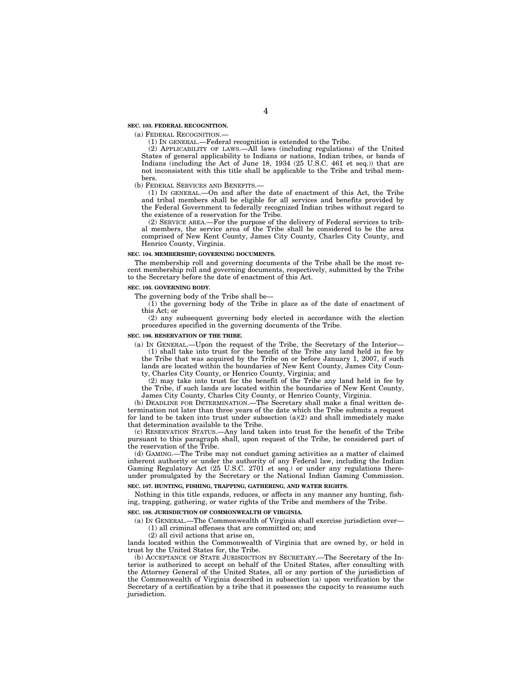#### **SEC. 103. FEDERAL RECOGNITION.**

(a) FEDERAL RECOGNITION.—

(1) IN GENERAL.—Federal recognition is extended to the Tribe.

(2) APPLICABILITY OF LAWS.—All laws (including regulations) of the United States of general applicability to Indians or nations, Indian tribes, or bands of Indians (including the Act of June 18, 1934 (25 U.S.C. 461 et seq.)) that are not inconsistent with this title shall be applicable to the Tribe and tribal members.

(b) FEDERAL SERVICES AND BENEFITS.—

(1) IN GENERAL.—On and after the date of enactment of this Act, the Tribe and tribal members shall be eligible for all services and benefits provided by the Federal Government to federally recognized Indian tribes without regard to the existence of a reservation for the Tribe.

(2) SERVICE AREA.—For the purpose of the delivery of Federal services to tribal members, the service area of the Tribe shall be considered to be the area comprised of New Kent County, James City County, Charles City County, and Henrico County, Virginia.

#### **SEC. 104. MEMBERSHIP; GOVERNING DOCUMENTS.**

The membership roll and governing documents of the Tribe shall be the most recent membership roll and governing documents, respectively, submitted by the Tribe to the Secretary before the date of enactment of this Act.

#### **SEC. 105. GOVERNING BODY.**

The governing body of the Tribe shall be—

 $(1)$  the governing body of the Tribe in place as of the date of enactment of this Act; or

(2) any subsequent governing body elected in accordance with the election procedures specified in the governing documents of the Tribe.

#### **SEC. 106. RESERVATION OF THE TRIBE.**

(a) IN GENERAL.—Upon the request of the Tribe, the Secretary of the Interior— (1) shall take into trust for the benefit of the Tribe any land held in fee by the Tribe that was acquired by the Tribe on or before January 1, 2007, if such lands are located within the boundaries of New Kent County, James City County, Charles City County, or Henrico County, Virginia; and

(2) may take into trust for the benefit of the Tribe any land held in fee by the Tribe, if such lands are located within the boundaries of New Kent County, James City County, Charles City County, or Henrico County, Virginia.

(b) DEADLINE FOR DETERMINATION.—The Secretary shall make a final written determination not later than three years of the date which the Tribe submits a request for land to be taken into trust under subsection  $(a)(2)$  and shall immediately make that determination available to the Tribe.

(c) RESERVATION STATUS.—Any land taken into trust for the benefit of the Tribe pursuant to this paragraph shall, upon request of the Tribe, be considered part of the reservation of the Tribe.

(d) GAMING.—The Tribe may not conduct gaming activities as a matter of claimed inherent authority or under the authority of any Federal law, including the Indian Gaming Regulatory Act (25 U.S.C. 2701 et seq.) or under any regulations thereunder promulgated by the Secretary or the National Indian Gaming Commission.

# **SEC. 107. HUNTING, FISHING, TRAPPING, GATHERING, AND WATER RIGHTS.**

Nothing in this title expands, reduces, or affects in any manner any hunting, fishing, trapping, gathering, or water rights of the Tribe and members of the Tribe.

**SEC. 108. JURISDICTION OF COMMONWEALTH OF VIRGINIA.** 

(a) IN GENERAL.—The Commonwealth of Virginia shall exercise jurisdiction over— (1) all criminal offenses that are committed on; and

(2) all civil actions that arise on,

lands located within the Commonwealth of Virginia that are owned by, or held in trust by the United States for, the Tribe.

(b) ACCEPTANCE OF STATE JURISDICTION BY SECRETARY.—The Secretary of the Interior is authorized to accept on behalf of the United States, after consulting with the Attorney General of the United States, all or any portion of the jurisdiction of the Commonwealth of Virginia described in subsection (a) upon verification by the Secretary of a certification by a tribe that it possesses the capacity to reassume such jurisdiction.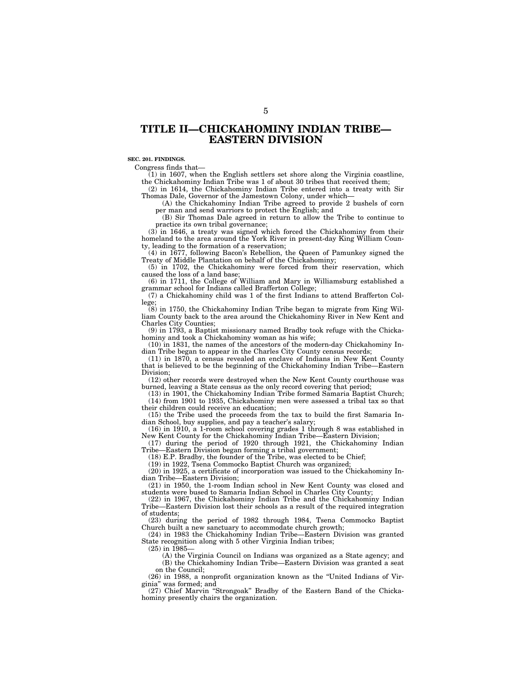# **TITLE II—CHICKAHOMINY INDIAN TRIBE— EASTERN DIVISION**

# **SEC. 201. FINDINGS.**

Congress finds that—

 $(1)$  in 1607, when the English settlers set shore along the Virginia coastline, the Chickahominy Indian Tribe was 1 of about 30 tribes that received them;

(2) in 1614, the Chickahominy Indian Tribe entered into a treaty with Sir Thomas Dale, Governor of the Jamestown Colony, under which—

(A) the Chickahominy Indian Tribe agreed to provide 2 bushels of corn per man and send warriors to protect the English; and

(B) Sir Thomas Dale agreed in return to allow the Tribe to continue to practice its own tribal governance;

 $(3)$  in 1646, a treaty was signed which forced the Chickahominy from their homeland to the area around the York River in present-day King William County, leading to the formation of a reservation;

(4) in 1677, following Bacon's Rebellion, the Queen of Pamunkey signed the Treaty of Middle Plantation on behalf of the Chickahominy;

(5) in 1702, the Chickahominy were forced from their reservation, which caused the loss of a land base;

(6) in 1711, the College of William and Mary in Williamsburg established a grammar school for Indians called Brafferton College;

(7) a Chickahominy child was 1 of the first Indians to attend Brafferton College;

(8) in 1750, the Chickahominy Indian Tribe began to migrate from King William County back to the area around the Chickahominy River in New Kent and Charles City Counties;

(9) in 1793, a Baptist missionary named Bradby took refuge with the Chickahominy and took a Chickahominy woman as his wife;

(10) in 1831, the names of the ancestors of the modern-day Chickahominy Indian Tribe began to appear in the Charles City County census records;

(11) in 1870, a census revealed an enclave of Indians in New Kent County that is believed to be the beginning of the Chickahominy Indian Tribe—Eastern Division;

(12) other records were destroyed when the New Kent County courthouse was burned, leaving a State census as the only record covering that period;

(13) in 1901, the Chickahominy Indian Tribe formed Samaria Baptist Church; (14) from 1901 to 1935, Chickahominy men were assessed a tribal tax so that their children could receive an education;

(15) the Tribe used the proceeds from the tax to build the first Samaria Indian School, buy supplies, and pay a teacher's salary;

(16) in 1910, a 1-room school covering grades 1 through 8 was established in New Kent County for the Chickahominy Indian Tribe—Eastern Division;

(17) during the period of 1920 through 1921, the Chickahominy Indian Tribe—Eastern Division began forming a tribal government;

(18) E.P. Bradby, the founder of the Tribe, was elected to be Chief;

(19) in 1922, Tsena Commocko Baptist Church was organized;

 $(20)$  in 1925, a certificate of incorporation was issued to the Chickahominy Indian Tribe—Eastern Division;

(21) in 1950, the 1-room Indian school in New Kent County was closed and students were bused to Samaria Indian School in Charles City County;

(22) in 1967, the Chickahominy Indian Tribe and the Chickahominy Indian Tribe—Eastern Division lost their schools as a result of the required integration of students;

(23) during the period of 1982 through 1984, Tsena Commocko Baptist Church built a new sanctuary to accommodate church growth;

(24) in 1983 the Chickahominy Indian Tribe—Eastern Division was granted State recognition along with 5 other Virginia Indian tribes;

 $(25)$  in 1985

(A) the Virginia Council on Indians was organized as a State agency; and (B) the Chickahominy Indian Tribe—Eastern Division was granted a seat on the Council;

(26) in 1988, a nonprofit organization known as the ''United Indians of Virginia'' was formed; and

(27) Chief Marvin ''Strongoak'' Bradby of the Eastern Band of the Chickahominy presently chairs the organization.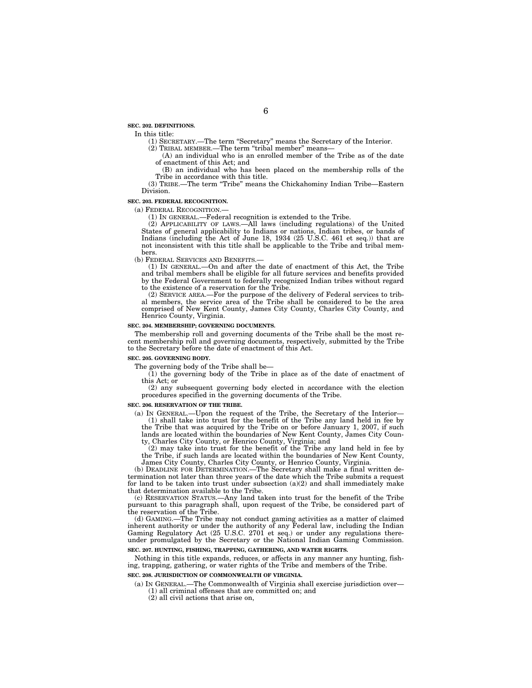**SEC. 202. DEFINITIONS.** 

In this title:

(1) SECRETARY.—The term ''Secretary'' means the Secretary of the Interior.

(2) TRIBAL MEMBER.—The term "tribal member" means— (A) an individual who is an enrolled member of the Tribe as of the date

of enactment of this Act; and (B) an individual who has been placed on the membership rolls of the

Tribe in accordance with this title. (3) TRIBE.—The term ''Tribe'' means the Chickahominy Indian Tribe—Eastern

Division.

**SEC. 203. FEDERAL RECOGNITION.** 

(a) FEDERAL RECOGNITION.—

(1) IN GENERAL.—Federal recognition is extended to the Tribe.

(2) APPLICABILITY OF LAWS.—All laws (including regulations) of the United States of general applicability to Indians or nations, Indian tribes, or bands of Indians (including the Act of June 18, 1934 (25 U.S.C. 461 et seq.)) that are not inconsistent with this title shall be applicable to the Tribe and tribal members.

(b) FEDERAL SERVICES AND BENEFITS.—

(1) IN GENERAL.—On and after the date of enactment of this Act, the Tribe and tribal members shall be eligible for all future services and benefits provided by the Federal Government to federally recognized Indian tribes without regard to the existence of a reservation for the Tribe.

(2) SERVICE AREA.—For the purpose of the delivery of Federal services to tribal members, the service area of the Tribe shall be considered to be the area comprised of New Kent County, James City County, Charles City County, and Henrico County, Virginia.

#### **SEC. 204. MEMBERSHIP; GOVERNING DOCUMENTS.**

The membership roll and governing documents of the Tribe shall be the most recent membership roll and governing documents, respectively, submitted by the Tribe to the Secretary before the date of enactment of this Act.

#### **SEC. 205. GOVERNING BODY.**

The governing body of the Tribe shall be—

(1) the governing body of the Tribe in place as of the date of enactment of this Act; or

(2) any subsequent governing body elected in accordance with the election procedures specified in the governing documents of the Tribe.

#### **SEC. 206. RESERVATION OF THE TRIBE.**

(a) IN GENERAL.—Upon the request of the Tribe, the Secretary of the Interior— (1) shall take into trust for the benefit of the Tribe any land held in fee by the Tribe that was acquired by the Tribe on or before January 1, 2007, if such lands are located within the boundaries of New Kent County, James City County, Charles City County, or Henrico County, Virginia; and

(2) may take into trust for the benefit of the Tribe any land held in fee by the Tribe, if such lands are located within the boundaries of New Kent County, James City County, Charles City County, or Henrico County, Virginia.

(b) DEADLINE FOR DETERMINATION.—The Secretary shall make a final written determination not later than three years of the date which the Tribe submits a request for land to be taken into trust under subsection (a)(2) and shall immediately make that determination available to the Tribe.

(c) RESERVATION STATUS.—Any land taken into trust for the benefit of the Tribe pursuant to this paragraph shall, upon request of the Tribe, be considered part of the reservation of the Tribe.

(d) GAMING.—The Tribe may not conduct gaming activities as a matter of claimed inherent authority or under the authority of any Federal law, including the Indian Gaming Regulatory Act (25 U.S.C. 2701 et seq.) or under any regulations thereunder promulgated by the Secretary or the National Indian Gaming Commission.

#### **SEC. 207. HUNTING, FISHING, TRAPPING, GATHERING, AND WATER RIGHTS.**

Nothing in this title expands, reduces, or affects in any manner any hunting, fishing, trapping, gathering, or water rights of the Tribe and members of the Tribe.

#### **SEC. 208. JURISDICTION OF COMMONWEALTH OF VIRGINIA.**

(a) IN GENERAL.—The Commonwealth of Virginia shall exercise jurisdiction over—

(1) all criminal offenses that are committed on; and

(2) all civil actions that arise on,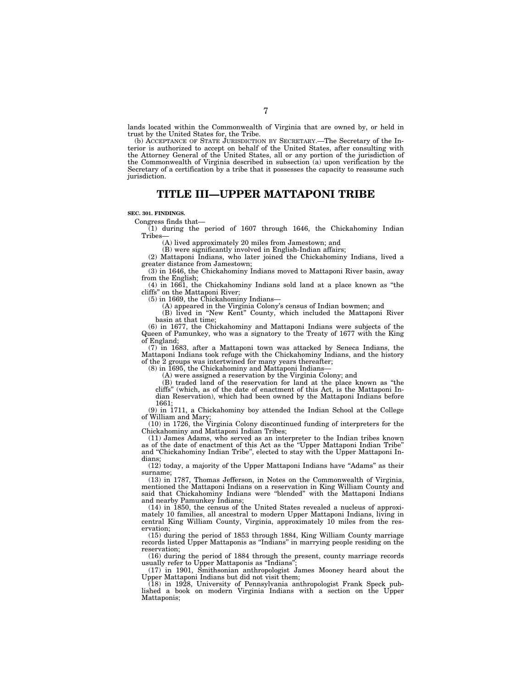lands located within the Commonwealth of Virginia that are owned by, or held in trust by the United States for, the Tribe.

(b) ACCEPTANCE OF STATE JURISDICTION BY SECRETARY.—The Secretary of the Interior is authorized to accept on behalf of the United States, after consulting with the Attorney General of the United States, all or any portion of the jurisdiction of the Commonwealth of Virginia described in subsection (a) upon verification by the Secretary of a certification by a tribe that it possesses the capacity to reassume such jurisdiction.

# **TITLE III—UPPER MATTAPONI TRIBE**

**SEC. 301. FINDINGS.** 

Congress finds that—

(1) during the period of 1607 through 1646, the Chickahominy Indian Tribes—

(A) lived approximately 20 miles from Jamestown; and

(B) were significantly involved in English-Indian affairs;

(2) Mattaponi Indians, who later joined the Chickahominy Indians, lived a greater distance from Jamestown;

(3) in 1646, the Chickahominy Indians moved to Mattaponi River basin, away from the English;

(4) in 1661, the Chickahominy Indians sold land at a place known as ''the cliffs'' on the Mattaponi River;

(5) in 1669, the Chickahominy Indians—

(A) appeared in the Virginia Colony's census of Indian bowmen; and

(B) lived in ''New Kent'' County, which included the Mattaponi River basin at that time;

(6) in 1677, the Chickahominy and Mattaponi Indians were subjects of the Queen of Pamunkey, who was a signatory to the Treaty of 1677 with the King of England;

(7) in 1683, after a Mattaponi town was attacked by Seneca Indians, the Mattaponi Indians took refuge with the Chickahominy Indians, and the history of the 2 groups was intertwined for many years thereafter;

 $(8)$  in  $\overline{1695}$ , the Chickahominy and Mattaponi Indians-

(A) were assigned a reservation by the Virginia Colony; and

(B) traded land of the reservation for land at the place known as ''the cliffs'' (which, as of the date of enactment of this Act, is the Mattaponi Indian Reservation), which had been owned by the Mattaponi Indians before 1661;

(9) in 1711, a Chickahominy boy attended the Indian School at the College of William and Mary;

(10) in 1726, the Virginia Colony discontinued funding of interpreters for the Chickahominy and Mattaponi Indian Tribes;

(11) James Adams, who served as an interpreter to the Indian tribes known as of the date of enactment of this Act as the ''Upper Mattaponi Indian Tribe'' and ''Chickahominy Indian Tribe'', elected to stay with the Upper Mattaponi Indians;

 $(12)$  today, a majority of the Upper Mattaponi Indians have "Adams" as their surname;

(13) in 1787, Thomas Jefferson, in Notes on the Commonwealth of Virginia, mentioned the Mattaponi Indians on a reservation in King William County and said that Chickahominy Indians were "blended" with the Mattaponi Indians and nearby Pamunkey Indians;

(14) in 1850, the census of the United States revealed a nucleus of approximately 10 families, all ancestral to modern Upper Mattaponi Indians, living in central King William County, Virginia, approximately 10 miles from the reservation;

(15) during the period of 1853 through 1884, King William County marriage records listed Upper Mattaponis as ''Indians'' in marrying people residing on the reservation;

(16) during the period of 1884 through the present, county marriage records usually refer to Upper Mattaponis as "Indians'

(17) in 1901, Smithsonian anthropologist James Mooney heard about the Upper Mattaponi Indians but did not visit them;

(18) in 1928, University of Pennsylvania anthropologist Frank Speck published a book on modern Virginia Indians with a section on the Upper Mattaponis;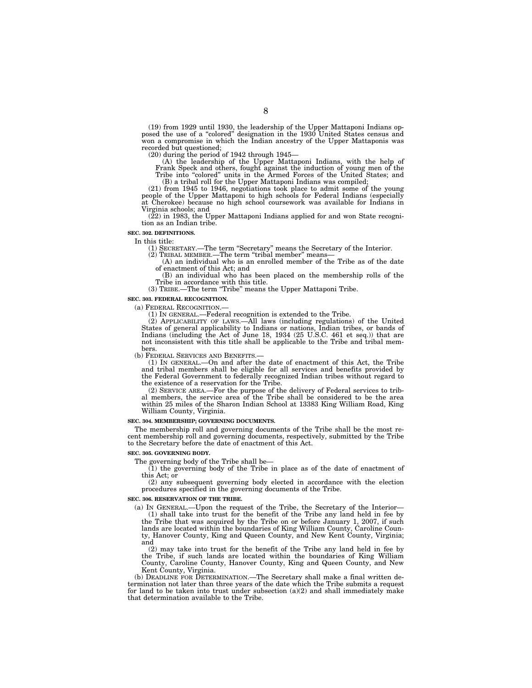(19) from 1929 until 1930, the leadership of the Upper Mattaponi Indians op-posed the use of a ''colored'' designation in the 1930 United States census and won a compromise in which the Indian ancestry of the Upper Mattaponis was recorded but questioned;

(20) during the period of 1942 through 1945—

(A) the leadership of the Upper Mattaponi Indians, with the help of Frank Speck and others, fought against the induction of young men of the Tribe into "colored" units in the Armed Forces of the United States; and (B) a tribal roll for the Upper Mattaponi Indians was compiled;

(21) from 1945 to 1946, negotiations took place to admit some of the young people of the Upper Mattaponi to high schools for Federal Indians (especially at Cherokee) because no high school coursework was available for Indians in Virginia schools; and

(22) in 1983, the Upper Mattaponi Indians applied for and won State recognition as an Indian tribe.

**SEC. 302. DEFINITIONS.** 

In this title:

(1) SECRETARY.—The term ''Secretary'' means the Secretary of the Interior. (2) TRIBAL MEMBER.—The term ''tribal member'' means—

(A) an individual who is an enrolled member of the Tribe as of the date of enactment of this Act; and

(B) an individual who has been placed on the membership rolls of the Tribe in accordance with this title.

(3) TRIBE.—The term ''Tribe'' means the Upper Mattaponi Tribe.

#### **SEC. 303. FEDERAL RECOGNITION.**

(a) FEDERAL RECOGNITION.— (1) IN GENERAL.—Federal recognition is extended to the Tribe. (2) APPLICABILITY OF LAWS.—All laws (including regulations) of the United States of general applicability to Indians or nations, Indian tribes, or bands of Indians (including the Act of June 18, 1934 (25 U.S.C. 461 et seq.)) that are not inconsistent with this title shall be applicable to the Tribe and tribal members.

(b) FEDERAL SERVICES AND BENEFITS.—

(1) IN GENERAL.—On and after the date of enactment of this Act, the Tribe and tribal members shall be eligible for all services and benefits provided by the Federal Government to federally recognized Indian tribes without regard to the existence of a reservation for the Tribe.

(2) SERVICE AREA.—For the purpose of the delivery of Federal services to tribal members, the service area of the Tribe shall be considered to be the area within 25 miles of the Sharon Indian School at 13383 King William Road, King William County, Virginia.

### **SEC. 304. MEMBERSHIP; GOVERNING DOCUMENTS.**

The membership roll and governing documents of the Tribe shall be the most recent membership roll and governing documents, respectively, submitted by the Tribe to the Secretary before the date of enactment of this Act.

#### **SEC. 305. GOVERNING BODY.**

The governing body of the Tribe shall be—

(1) the governing body of the Tribe in place as of the date of enactment of this Act; or

(2) any subsequent governing body elected in accordance with the election procedures specified in the governing documents of the Tribe.

#### **SEC. 306. RESERVATION OF THE TRIBE.**

(a) IN GENERAL.—Upon the request of the Tribe, the Secretary of the Interior— (1) shall take into trust for the benefit of the Tribe any land held in fee by the Tribe that was acquired by the Tribe on or before January 1, 2007, if such lands are located within the boundaries of King William County, Caroline County, Hanover County, King and Queen County, and New Kent County, Virginia; and

(2) may take into trust for the benefit of the Tribe any land held in fee by the Tribe, if such lands are located within the boundaries of King William County, Caroline County, Hanover County, King and Queen County, and New Kent County, Virginia.

(b) DEADLINE FOR DETERMINATION.—The Secretary shall make a final written determination not later than three years of the date which the Tribe submits a request for land to be taken into trust under subsection  $(a)(2)$  and shall immediately make that determination available to the Tribe.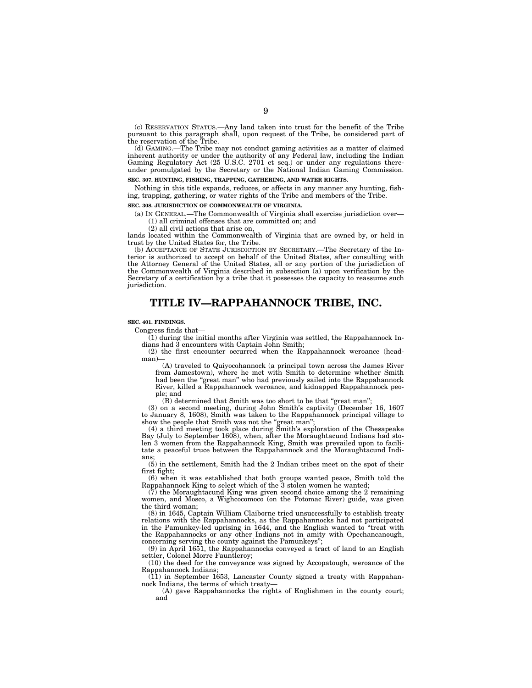(c) RESERVATION STATUS.—Any land taken into trust for the benefit of the Tribe pursuant to this paragraph shall, upon request of the Tribe, be considered part of the reservation of the Tribe.

(d) GAMING.—The Tribe may not conduct gaming activities as a matter of claimed inherent authority or under the authority of any Federal law, including the Indian Gaming Regulatory Act (25 U.S.C. 2701 et seq.) or under any regulations thereunder promulgated by the Secretary or the National Indian Gaming Commission.

#### **SEC. 307. HUNTING, FISHING, TRAPPING, GATHERING, AND WATER RIGHTS.**

Nothing in this title expands, reduces, or affects in any manner any hunting, fishing, trapping, gathering, or water rights of the Tribe and members of the Tribe.

#### SEC. 308. JURISDICTION OF COMMONWEALTH OF VIRGINIA

(a) IN GENERAL.—The Commonwealth of Virginia shall exercise jurisdiction over— (1) all criminal offenses that are committed on; and

(2) all civil actions that arise on,

lands located within the Commonwealth of Virginia that are owned by, or held in trust by the United States for, the Tribe.

(b) ACCEPTANCE OF STATE JURISDICTION BY SECRETARY.—The Secretary of the Interior is authorized to accept on behalf of the United States, after consulting with the Attorney General of the United States, all or any portion of the jurisdiction of the Commonwealth of Virginia described in subsection (a) upon verification by the Secretary of a certification by a tribe that it possesses the capacity to reassume such jurisdiction.

# **TITLE IV—RAPPAHANNOCK TRIBE, INC.**

#### **SEC. 401. FINDINGS.**

Congress finds that—

(1) during the initial months after Virginia was settled, the Rappahannock Indians had 3 encounters with Captain John Smith;

(2) the first encounter occurred when the Rappahannock weroance (headman)—

(A) traveled to Quiyocohannock (a principal town across the James River from Jamestown), where he met with Smith to determine whether Smith had been the "great man" who had previously sailed into the Rappahannock River, killed a Rappahannock weroance, and kidnapped Rappahannock people; and

(B) determined that Smith was too short to be that ''great man'';

(3) on a second meeting, during John Smith's captivity (December 16, 1607 to January 8, 1608), Smith was taken to the Rappahannock principal village to show the people that Smith was not the "great man";

(4) a third meeting took place during Smith's exploration of the Chesapeake Bay (July to September 1608), when, after the Moraughtacund Indians had stolen 3 women from the Rappahannock King, Smith was prevailed upon to facilitate a peaceful truce between the Rappahannock and the Moraughtacund Indians;

(5) in the settlement, Smith had the 2 Indian tribes meet on the spot of their first fight;

(6) when it was established that both groups wanted peace, Smith told the Rappahannock King to select which of the 3 stolen women he wanted;

 $(7)$  the Moraughtacund King was given second choice among the 2 remaining women, and Mosco, a Wighcocomoco (on the Potomac River) guide, was given the third woman;

(8) in 1645, Captain William Claiborne tried unsuccessfully to establish treaty relations with the Rappahannocks, as the Rappahannocks had not participated in the Pamunkey-led uprising in 1644, and the English wanted to ''treat with the Rappahannocks or any other Indians not in amity with Opechancanough, concerning serving the county against the Pamunkeys'';

(9) in April 1651, the Rappahannocks conveyed a tract of land to an English settler, Colonel Morre Fauntleroy;

(10) the deed for the conveyance was signed by Accopatough, weroance of the Rappahannock Indians;

 $(11)$  in September 1653, Lancaster County signed a treaty with Rappahannock Indians, the terms of which treaty—

(A) gave Rappahannocks the rights of Englishmen in the county court; and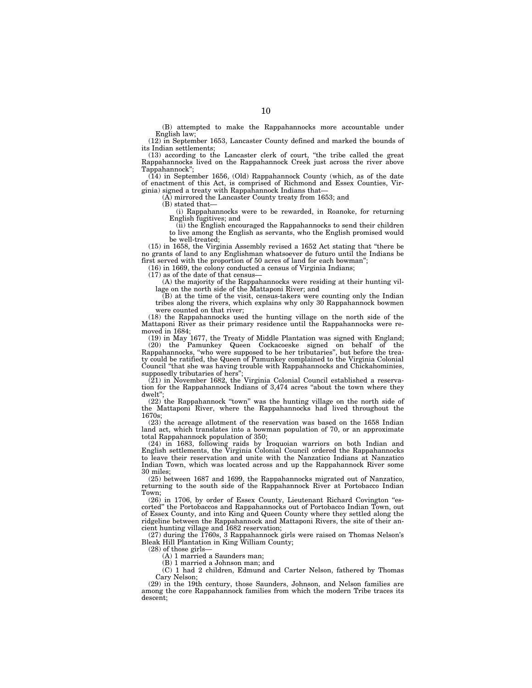(B) attempted to make the Rappahannocks more accountable under English law;

(12) in September 1653, Lancaster County defined and marked the bounds of its Indian settlements;

(13) according to the Lancaster clerk of court, ''the tribe called the great Rappahannocks lived on the Rappahannock Creek just across the river above Tappahannock'';

 $(14)$  in September 1656, (Old) Rappahannock County (which, as of the date of enactment of this Act, is comprised of Richmond and Essex Counties, Virginia) signed a treaty with Rappahannock Indians that—

(A) mirrored the Lancaster County treaty from 1653; and

(B) stated that—

(i) Rappahannocks were to be rewarded, in Roanoke, for returning English fugitives; and

(ii) the English encouraged the Rappahannocks to send their children to live among the English as servants, who the English promised would be well-treated;

(15) in 1658, the Virginia Assembly revised a 1652 Act stating that ''there be no grants of land to any Englishman whatsoever de futuro until the Indians be first served with the proportion of 50 acres of land for each bowman'';

(16) in 1669, the colony conducted a census of Virginia Indians;

(17) as of the date of that census—

(A) the majority of the Rappahannocks were residing at their hunting village on the north side of the Mattaponi River; and

(B) at the time of the visit, census-takers were counting only the Indian tribes along the rivers, which explains why only 30 Rappahannock bowmen were counted on that river;

(18) the Rappahannocks used the hunting village on the north side of the Mattaponi River as their primary residence until the Rappahannocks were removed in 1684;

(19) in May 1677, the Treaty of Middle Plantation was signed with England; (20) the Pamunkey Queen Cockacoeske signed on behalf of the Rappahannocks, ''who were supposed to be her tributaries'', but before the treaty could be ratified, the Queen of Pamunkey complained to the Virginia Colonial Council ''that she was having trouble with Rappahannocks and Chickahominies, supposedly tributaries of hers'

(21) in November 1682, the Virginia Colonial Council established a reservation for the Rappahannock Indians of 3,474 acres ''about the town where they dwelt'';

(22) the Rappahannock ''town'' was the hunting village on the north side of the Mattaponi River, where the Rappahannocks had lived throughout the 1670s;

(23) the acreage allotment of the reservation was based on the 1658 Indian land act, which translates into a bowman population of 70, or an approximate total Rappahannock population of 350;

(24) in 1683, following raids by Iroquoian warriors on both Indian and English settlements, the Virginia Colonial Council ordered the Rappahannocks to leave their reservation and unite with the Nanzatico Indians at Nanzatico Indian Town, which was located across and up the Rappahannock River some 30 miles;

(25) between 1687 and 1699, the Rappahannocks migrated out of Nanzatico, returning to the south side of the Rappahannock River at Portobacco Indian Town;

(26) in 1706, by order of Essex County, Lieutenant Richard Covington ''escorted'' the Portobaccos and Rappahannocks out of Portobacco Indian Town, out of Essex County, and into King and Queen County where they settled along the ridgeline between the Rappahannock and Mattaponi Rivers, the site of their ancient hunting village and 1682 reservation;

(27) during the 1760s, 3 Rappahannock girls were raised on Thomas Nelson's Bleak Hill Plantation in King William County;

 $(28)$  of those girls

(A) 1 married a Saunders man;

(B) 1 married a Johnson man; and

(C) 1 had 2 children, Edmund and Carter Nelson, fathered by Thomas Cary Nelson;

(29) in the 19th century, those Saunders, Johnson, and Nelson families are among the core Rappahannock families from which the modern Tribe traces its descent;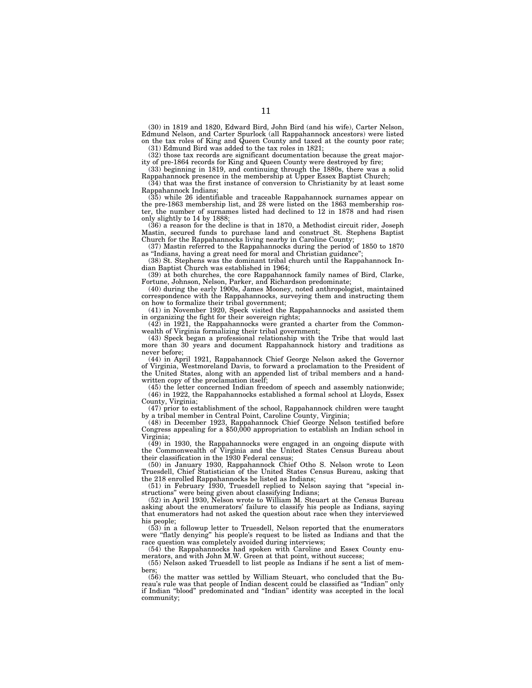(30) in 1819 and 1820, Edward Bird, John Bird (and his wife), Carter Nelson, Edmund Nelson, and Carter Spurlock (all Rappahannock ancestors) were listed on the tax roles of King and Queen County and taxed at the county poor rate; (31) Edmund Bird was added to the tax roles in 1821;

(32) those tax records are significant documentation because the great majority of pre-1864 records for King and Queen County were destroyed by fire; (33) beginning in 1819, and continuing through the 1880s, there was a solid

Rappahannock presence in the membership at Upper Essex Baptist Church; (34) that was the first instance of conversion to Christianity by at least some

Rappahannock Indians; (35) while 26 identifiable and traceable Rappahannock surnames appear on the pre-1863 membership list, and 28 were listed on the 1863 membership roster, the number of surnames listed had declined to 12 in 1878 and had risen only slightly to 14 by 1888;

(36) a reason for the decline is that in 1870, a Methodist circuit rider, Joseph Mastin, secured funds to purchase land and construct St. Stephens Baptist Church for the Rappahannocks living nearby in Caroline County;

(37) Mastin referred to the Rappahannocks during the period of 1850 to 1870 as ''Indians, having a great need for moral and Christian guidance'';

(38) St. Stephens was the dominant tribal church until the Rappahannock Indian Baptist Church was established in 1964;

(39) at both churches, the core Rappahannock family names of Bird, Clarke, Fortune, Johnson, Nelson, Parker, and Richardson predominate;

(40) during the early 1900s, James Mooney, noted anthropologist, maintained correspondence with the Rappahannocks, surveying them and instructing them on how to formalize their tribal government;

(41) in November 1920, Speck visited the Rappahannocks and assisted them in organizing the fight for their sovereign rights;

 $(42)$  in 1921, the Rappahannocks were granted a charter from the Commonwealth of Virginia formalizing their tribal government;

(43) Speck began a professional relationship with the Tribe that would last more than 30 years and document Rappahannock history and traditions as never before;

(44) in April 1921, Rappahannock Chief George Nelson asked the Governor of Virginia, Westmoreland Davis, to forward a proclamation to the President of the United States, along with an appended list of tribal members and a handwritten copy of the proclamation itself;

(45) the letter concerned Indian freedom of speech and assembly nationwide; (46) in 1922, the Rappahannocks established a formal school at Lloyds, Essex County, Virginia;

(47) prior to establishment of the school, Rappahannock children were taught by a tribal member in Central Point, Caroline County, Virginia;

(48) in December 1923, Rappahannock Chief George Nelson testified before Congress appealing for a \$50,000 appropriation to establish an Indian school in Virginia;

(49) in 1930, the Rappahannocks were engaged in an ongoing dispute with the Commonwealth of Virginia and the United States Census Bureau about their classification in the 1930 Federal census;

(50) in January 1930, Rappahannock Chief Otho S. Nelson wrote to Leon Truesdell, Chief Statistician of the United States Census Bureau, asking that the 218 enrolled Rappahannocks be listed as Indians;

(51) in February 1930, Truesdell replied to Nelson saying that ''special instructions'' were being given about classifying Indians;

(52) in April 1930, Nelson wrote to William M. Steuart at the Census Bureau asking about the enumerators' failure to classify his people as Indians, saying that enumerators had not asked the question about race when they interviewed his people;

 $(53)$  in a followup letter to Truesdell, Nelson reported that the enumerators were "flatly denying" his people's request to be listed as Indians and that the race question was completely avoided during interviews;

(54) the Rappahannocks had spoken with Caroline and Essex County enumerators, and with John M.W. Green at that point, without success;

(55) Nelson asked Truesdell to list people as Indians if he sent a list of members;

(56) the matter was settled by William Steuart, who concluded that the Bureau's rule was that people of Indian descent could be classified as ''Indian'' only if Indian ''blood'' predominated and ''Indian'' identity was accepted in the local community;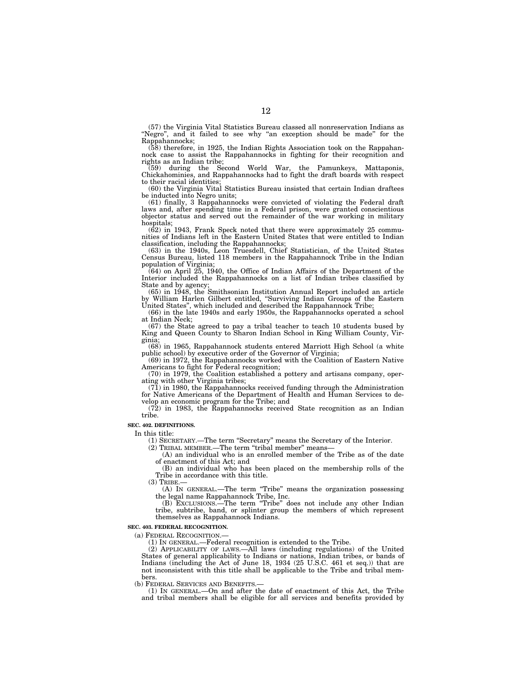(57) the Virginia Vital Statistics Bureau classed all nonreservation Indians as "Negro", and it failed to see why "an exception should be made" for the Rappahannocks;

(58) therefore, in 1925, the Indian Rights Association took on the Rappahannock case to assist the Rappahannocks in fighting for their recognition and rights as an Indian tribe;

(59) during the Second World War, the Pamunkeys, Mattaponis, Chickahominies, and Rappahannocks had to fight the draft boards with respect to their racial identities;

(60) the Virginia Vital Statistics Bureau insisted that certain Indian draftees be inducted into Negro units;

(61) finally, 3 Rappahannocks were convicted of violating the Federal draft laws and, after spending time in a Federal prison, were granted conscientious objector status and served out the remainder of the war working in military hospitals;

(62) in 1943, Frank Speck noted that there were approximately 25 commu-nities of Indians left in the Eastern United States that were entitled to Indian

classification, including the Rappahannocks; (63) in the 1940s, Leon Truesdell, Chief Statistician, of the United States Census Bureau, listed 118 members in the Rappahannock Tribe in the Indian population of Virginia;

(64) on April 25, 1940, the Office of Indian Affairs of the Department of the Interior included the Rappahannocks on a list of Indian tribes classified by State and by agency; (65) in 1948, the Smithsonian Institution Annual Report included an article

by William Harlen Gilbert entitled, ''Surviving Indian Groups of the Eastern United States'', which included and described the Rappahannock Tribe;

(66) in the late 1940s and early 1950s, the Rappahannocks operated a school

at Indian Neck; (67) the State agreed to pay a tribal teacher to teach 10 students bused by King and Queen County to Sharon Indian School in King William County, Virginia;

(68) in 1965, Rappahannock students entered Marriott High School (a white public school) by executive order of the Governor of Virginia;

(69) in 1972, the Rappahannocks worked with the Coalition of Eastern Native Americans to fight for Federal recognition;

(70) in 1979, the Coalition established a pottery and artisans company, operating with other Virginia tribes;

(71) in 1980, the Rappahannocks received funding through the Administration for Native Americans of the Department of Health and Human Services to develop an economic program for the Tribe; and

(72) in 1983, the Rappahannocks received State recognition as an Indian tribe.

#### **SEC. 402. DEFINITIONS.**

In this title:

(1) SECRETARY.—The term ''Secretary'' means the Secretary of the Interior.

(2) TRIBAL MEMBER.—The term "tribal member" means—

(A) an individual who is an enrolled member of the Tribe as of the date of enactment of this Act; and

(B) an individual who has been placed on the membership rolls of the Tribe in accordance with this title.

 $(3)$  Tribe.

(A) IN GENERAL.—The term ''Tribe'' means the organization possessing the legal name Rappahannock Tribe, Inc.

(B) EXCLUSIONS.—The term ''Tribe'' does not include any other Indian tribe, subtribe, band, or splinter group the members of which represent themselves as Rappahannock Indians.

#### **SEC. 403. FEDERAL RECOGNITION.**

(a) FEDERAL RECOGNITION.

(1) IN GENERAL.—Federal recognition is extended to the Tribe.

(2) APPLICABILITY OF LAWS.—All laws (including regulations) of the United States of general applicability to Indians or nations, Indian tribes, or bands of Indians (including the Act of June 18, 1934 (25 U.S.C. 461 et seq.)) that are not inconsistent with this title shall be applicable to the Tribe and tribal members.

(b) FEDERAL SERVICES AND BENEFITS.—

(1) IN GENERAL.—On and after the date of enactment of this Act, the Tribe and tribal members shall be eligible for all services and benefits provided by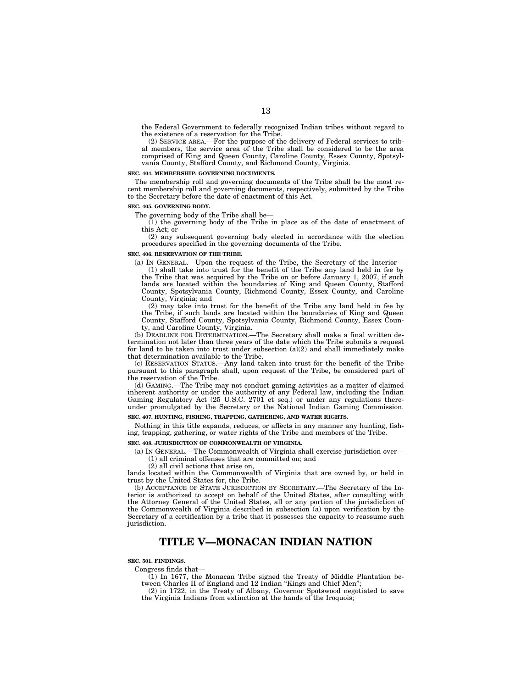the Federal Government to federally recognized Indian tribes without regard to the existence of a reservation for the Tribe.

(2) SERVICE AREA.—For the purpose of the delivery of Federal services to tribal members, the service area of the Tribe shall be considered to be the area comprised of King and Queen County, Caroline County, Essex County, Spotsylvania County, Stafford County, and Richmond County, Virginia.

#### **SEC. 404. MEMBERSHIP; GOVERNING DOCUMENTS.**

The membership roll and governing documents of the Tribe shall be the most recent membership roll and governing documents, respectively, submitted by the Tribe to the Secretary before the date of enactment of this Act.

#### **SEC. 405. GOVERNING BODY.**

The governing body of the Tribe shall be—

(1) the governing body of the Tribe in place as of the date of enactment of this Act; or

(2) any subsequent governing body elected in accordance with the election procedures specified in the governing documents of the Tribe.

### **SEC. 406. RESERVATION OF THE TRIBE.**

(a) IN GENERAL.—Upon the request of the Tribe, the Secretary of the Interior— (1) shall take into trust for the benefit of the Tribe any land held in fee by the Tribe that was acquired by the Tribe on or before January 1, 2007, if such lands are located within the boundaries of King and Queen County, Stafford County, Spotsylvania County, Richmond County, Essex County, and Caroline County, Virginia; and

(2) may take into trust for the benefit of the Tribe any land held in fee by the Tribe, if such lands are located within the boundaries of King and Queen County, Stafford County, Spotsylvania County, Richmond County, Essex County, and Caroline County, Virginia.

(b) DEADLINE FOR DETERMINATION.—The Secretary shall make a final written determination not later than three years of the date which the Tribe submits a request for land to be taken into trust under subsection (a)(2) and shall immediately make that determination available to the Tribe.

(c) RESERVATION STATUS.—Any land taken into trust for the benefit of the Tribe pursuant to this paragraph shall, upon request of the Tribe, be considered part of the reservation of the Tribe.

(d) GAMING.—The Tribe may not conduct gaming activities as a matter of claimed inherent authority or under the authority of any Federal law, including the Indian Gaming Regulatory Act (25 U.S.C. 2701 et seq.) or under any regulations thereunder promulgated by the Secretary or the National Indian Gaming Commission.

### **SEC. 407. HUNTING, FISHING, TRAPPING, GATHERING, AND WATER RIGHTS.**

Nothing in this title expands, reduces, or affects in any manner any hunting, fishing, trapping, gathering, or water rights of the Tribe and members of the Tribe.

**SEC. 408. JURISDICTION OF COMMONWEALTH OF VIRGINIA.** 

(a) IN GENERAL.—The Commonwealth of Virginia shall exercise jurisdiction over—

(1) all criminal offenses that are committed on; and

(2) all civil actions that arise on,

lands located within the Commonwealth of Virginia that are owned by, or held in trust by the United States for, the Tribe.

(b) ACCEPTANCE OF STATE JURISDICTION BY SECRETARY.—The Secretary of the Interior is authorized to accept on behalf of the United States, after consulting with the Attorney General of the United States, all or any portion of the jurisdiction of the Commonwealth of Virginia described in subsection (a) upon verification by the Secretary of a certification by a tribe that it possesses the capacity to reassume such jurisdiction.

# **TITLE V—MONACAN INDIAN NATION**

#### **SEC. 501. FINDINGS.**

Congress finds that—

(1) In 1677, the Monacan Tribe signed the Treaty of Middle Plantation between Charles II of England and 12 Indian ''Kings and Chief Men'';

(2) in 1722, in the Treaty of Albany, Governor Spotswood negotiated to save the Virginia Indians from extinction at the hands of the Iroquois;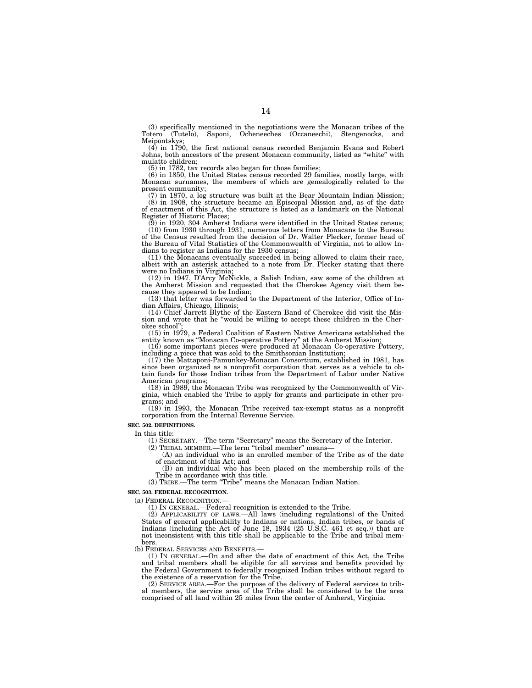(3) specifically mentioned in the negotiations were the Monacan tribes of the Totero (Tutelo), Saponi, Ocheneeches (Occaneechi), Stengenocks, and Meipontskys;

 $(4)$  in 1790, the first national census recorded Benjamin Evans and Robert Johns, both ancestors of the present Monacan community, listed as ''white'' with mulatto children;

(5) in 1782, tax records also began for those families;

(6) in 1850, the United States census recorded 29 families, mostly large, with Monacan surnames, the members of which are genealogically related to the present community;

(7) in 1870, a log structure was built at the Bear Mountain Indian Mission; (8) in 1908, the structure became an Episcopal Mission and, as of the date of enactment of this Act, the structure is listed as a landmark on the National Register of Historic Places; (9) in 1920, 304 Amherst Indians were identified in the United States census;

(10) from 1930 through 1931, numerous letters from Monacans to the Bureau of the Census resulted from the decision of Dr. Walter Plecker, former head of the Bureau of Vital Statistics of the Commonwealth of Virginia, not to allow Indians to register as Indians for the 1930 census;

(11) the Monacans eventually succeeded in being allowed to claim their race, albeit with an asterisk attached to a note from Dr. Plecker stating that there were no Indians in Virginia;

(12) in 1947, D'Arcy McNickle, a Salish Indian, saw some of the children at the Amherst Mission and requested that the Cherokee Agency visit them be-cause they appeared to be Indian;

(13) that letter was forwarded to the Department of the Interior, Office of In-

dian Affairs, Chicago, Illinois; (14) Chief Jarrett Blythe of the Eastern Band of Cherokee did visit the Mission and wrote that he ''would be willing to accept these children in the Cherokee school'

(15) in 1979, a Federal Coalition of Eastern Native Americans established the entity known as ''Monacan Co-operative Pottery'' at the Amherst Mission; (16) some important pieces were produced at Monacan Co-operative Pottery,

including a piece that was sold to the Smithsonian Institution;

(17) the Mattaponi-Pamunkey-Monacan Consortium, established in 1981, has since been organized as a nonprofit corporation that serves as a vehicle to obtain funds for those Indian tribes from the Department of Labor under Native American programs;

(18) in 1989, the Monacan Tribe was recognized by the Commonwealth of Virginia, which enabled the Tribe to apply for grants and participate in other programs; and

(19) in 1993, the Monacan Tribe received tax-exempt status as a nonprofit corporation from the Internal Revenue Service.

#### **SEC. 502. DEFINITIONS.**

In this title:

(1) SECRETARY.—The term ''Secretary'' means the Secretary of the Interior.

(2) TRIBAL MEMBER.—The term "tribal member" means—

(A) an individual who is an enrolled member of the Tribe as of the date of enactment of this Act; and

(B) an individual who has been placed on the membership rolls of the Tribe in accordance with this title.

(3) TRIBE.—The term ''Tribe'' means the Monacan Indian Nation.

#### **SEC. 503. FEDERAL RECOGNITION.**

(a) FEDERAL RECOGNITION.—

(1) IN GENERAL.—Federal recognition is extended to the Tribe.

(2) APPLICABILITY OF LAWS.—All laws (including regulations) of the United States of general applicability to Indians or nations, Indian tribes, or bands of Indians (including the Act of June 18, 1934 (25 U.S.C. 461 et seq.)) that are not inconsistent with this title shall be applicable to the Tribe and tribal members.

(b) FEDERAL SERVICES AND BENEFITS.

(1) IN GENERAL.—On and after the date of enactment of this Act, the Tribe and tribal members shall be eligible for all services and benefits provided by the Federal Government to federally recognized Indian tribes without regard to the existence of a reservation for the Tribe.

(2) SERVICE AREA.—For the purpose of the delivery of Federal services to tribal members, the service area of the Tribe shall be considered to be the area comprised of all land within 25 miles from the center of Amherst, Virginia.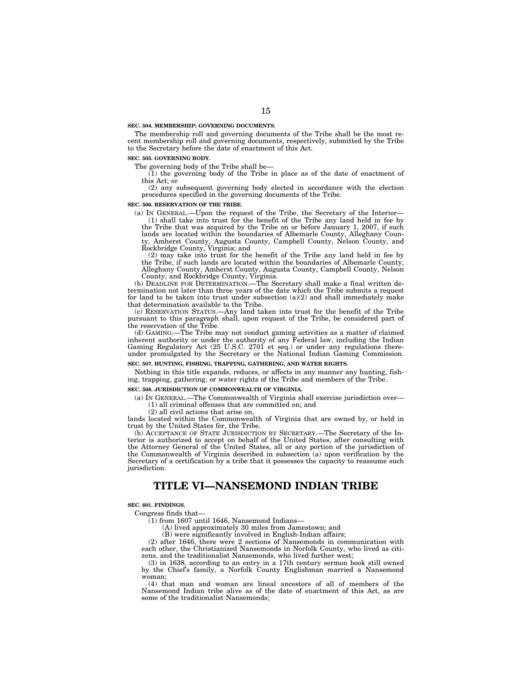#### **SEC. 504. MEMBERSHIP; GOVERNING DOCUMENTS.**

The membership roll and governing documents of the Tribe shall be the most recent membership roll and governing documents, respectively, submitted by the Tribe to the Secretary before the date of enactment of this Act.

#### **SEC. 505. GOVERNING BODY.**

The governing body of the Tribe shall be—

(1) the governing body of the Tribe in place as of the date of enactment of this Act; or

(2) any subsequent governing body elected in accordance with the election procedures specified in the governing documents of the Tribe.

#### **SEC. 506. RESERVATION OF THE TRIBE.**

(a) IN GENERAL.—Upon the request of the Tribe, the Secretary of the Interior— (1) shall take into trust for the benefit of the Tribe any land held in fee by the Tribe that was acquired by the Tribe on or before January 1, 2007, if such lands are located within the boundaries of Albemarle County, Alleghany County, Amherst County, Augusta County, Campbell County, Nelson County, and Rockbridge County, Virginia; and

(2) may take into trust for the benefit of the Tribe any land held in fee by the Tribe, if such lands are located within the boundaries of Albemarle County, Alleghany County, Amherst County, Augusta County, Campbell County, Nelson County, and Rockbridge County, Virginia.

(b) DEADLINE FOR DETERMINATION.—The Secretary shall make a final written determination not later than three years of the date which the Tribe submits a request for land to be taken into trust under subsection  $(a)(2)$  and shall immediately make that determination available to the Tribe.

(c) RESERVATION STATUS.—Any land taken into trust for the benefit of the Tribe pursuant to this paragraph shall, upon request of the Tribe, be considered part of the reservation of the Tribe.

(d) GAMING.—The Tribe may not conduct gaming activities as a matter of claimed inherent authority or under the authority of any Federal law, including the Indian Gaming Regulatory Act (25 U.S.C. 2701 et seq.) or under any regulations thereunder promulgated by the Secretary or the National Indian Gaming Commission.

**SEC. 507. HUNTING, FISHING, TRAPPING, GATHERING, AND WATER RIGHTS.** 

Nothing in this title expands, reduces, or affects in any manner any hunting, fishing, trapping, gathering, or water rights of the Tribe and members of the Tribe.

#### **SEC. 508. JURISDICTION OF COMMONWEALTH OF VIRGINIA**

(a) IN GENERAL.—The Commonwealth of Virginia shall exercise jurisdiction over— (1) all criminal offenses that are committed on; and

(2) all civil actions that arise on,

lands located within the Commonwealth of Virginia that are owned by, or held in trust by the United States for, the Tribe.

(b) ACCEPTANCE OF STATE JURISDICTION BY SECRETARY.—The Secretary of the Interior is authorized to accept on behalf of the United States, after consulting with the Attorney General of the United States, all or any portion of the jurisdiction of the Commonwealth of Virginia described in subsection (a) upon verification by the Secretary of a certification by a tribe that it possesses the capacity to reassume such jurisdiction.

# **TITLE VI—NANSEMOND INDIAN TRIBE**

#### **SEC. 601. FINDINGS.**

Congress finds that—

(1) from 1607 until 1646, Nansemond Indians—

(A) lived approximately 30 miles from Jamestown; and

(B) were significantly involved in English-Indian affairs;

(2) after 1646, there were 2 sections of Nansemonds in communication with each other, the Christianized Nansemonds in Norfolk County, who lived as citizens, and the traditionalist Nansemonds, who lived further west;

(3) in 1638, according to an entry in a 17th century sermon book still owned by the Chief's family, a Norfolk County Englishman married a Nansemond woman;

(4) that man and woman are lineal ancestors of all of members of the Nansemond Indian tribe alive as of the date of enactment of this Act, as are some of the traditionalist Nansemonds;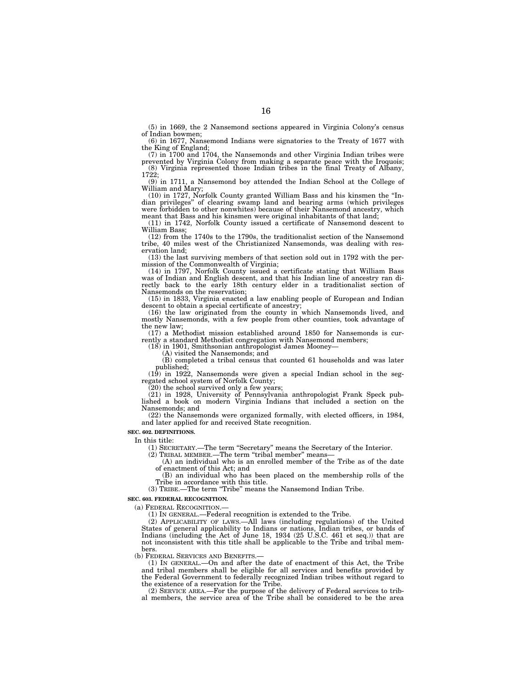(5) in 1669, the 2 Nansemond sections appeared in Virginia Colony's census of Indian bowmen;

(6) in 1677, Nansemond Indians were signatories to the Treaty of 1677 with the King of England;

 $(7)$  in 1700 and 1704, the Nansemonds and other Virginia Indian tribes were prevented by Virginia Colony from making a separate peace with the Iroquois; (8) Virginia represented those Indian tribes in the final Treaty of 1722;

(9) in 1711, a Nansemond boy attended the Indian School at the College of William and Mary;

(10) in 1727, Norfolk County granted William Bass and his kinsmen the ''Indian privileges'' of clearing swamp land and bearing arms (which privileges were forbidden to other nonwhites) because of their Nansemond ancestry, which meant that Bass and his kinsmen were original inhabitants of that land;

(11) in 1742, Norfolk County issued a certificate of Nansemond descent to William Bass;

(12) from the 1740s to the 1790s, the traditionalist section of the Nansemond tribe, 40 miles west of the Christianized Nansemonds, was dealing with reservation land;

(13) the last surviving members of that section sold out in 1792 with the per-mission of the Commonwealth of Virginia;

(14) in 1797, Norfolk County issued a certificate stating that William Bass was of Indian and English descent, and that his Indian line of ancestry ran directly back to the early 18th century elder in a traditionalist section of Nansemonds on the reservation;

(15) in 1833, Virginia enacted a law enabling people of European and Indian

descent to obtain a special certificate of ancestry; (16) the law originated from the county in which Nansemonds lived, and mostly Nansemonds, with a few people from other counties, took advantage of the new law;

(17) a Methodist mission established around 1850 for Nansemonds is currently a standard Methodist congregation with Nansemond members;

(18) in 1901, Smithsonian anthropologist James Mooney—

(A) visited the Nansemonds; and

(B) completed a tribal census that counted 61 households and was later published;

(19) in 1922, Nansemonds were given a special Indian school in the segregated school system of Norfolk County;

(20) the school survived only a few years;

(21) in 1928, University of Pennsylvania anthropologist Frank Speck pub-lished a book on modern Virginia Indians that included a section on the Nansemonds; and

 $(22)$  the Nansemonds were organized formally, with elected officers, in 1984, and later applied for and received State recognition.

**SEC. 602. DEFINITIONS.** 

In this title:

(1) SECRETARY.—The term ''Secretary'' means the Secretary of the Interior.

(2) TRIBAL MEMBER.—The term "tribal member" means—

(A) an individual who is an enrolled member of the Tribe as of the date of enactment of this Act; and

(B) an individual who has been placed on the membership rolls of the Tribe in accordance with this title.

(3) TRIBE.—The term ''Tribe'' means the Nansemond Indian Tribe.

#### **SEC. 603. FEDERAL RECOGNITION.**

(a) FEDERAL RECOGNITION.—

(1) IN GENERAL.—Federal recognition is extended to the Tribe.

(2) APPLICABILITY OF LAWS.—All laws (including regulations) of the United States of general applicability to Indians or nations, Indian tribes, or bands of Indians (including the Act of June 18, 1934 (25 U.S.C. 461 et seq.)) that are not inconsistent with this title shall be applicable to the Tribe and tribal members.

(b) FEDERAL SERVICES AND BENEFITS.—

(1) IN GENERAL.—On and after the date of enactment of this Act, the Tribe and tribal members shall be eligible for all services and benefits provided by the Federal Government to federally recognized Indian tribes without regard to the existence of a reservation for the Tribe.

(2) SERVICE AREA.—For the purpose of the delivery of Federal services to tribal members, the service area of the Tribe shall be considered to be the area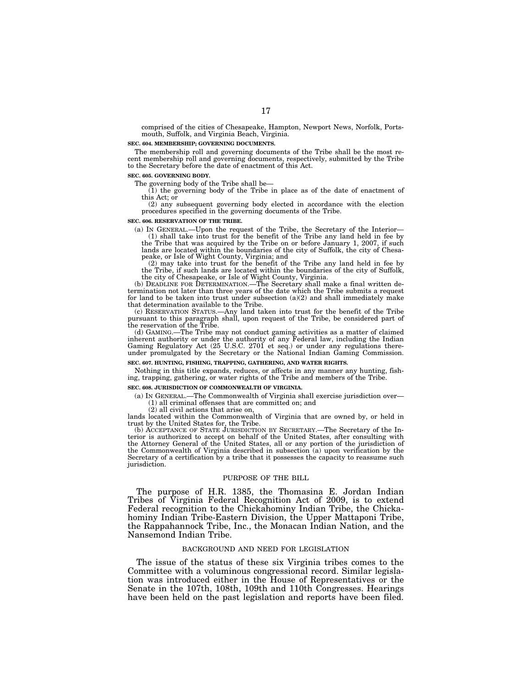comprised of the cities of Chesapeake, Hampton, Newport News, Norfolk, Ports-mouth, Suffolk, and Virginia Beach, Virginia.

#### **SEC. 604. MEMBERSHIP; GOVERNING DOCUMENTS.**

The membership roll and governing documents of the Tribe shall be the most re-cent membership roll and governing documents, respectively, submitted by the Tribe to the Secretary before the date of enactment of this Act.

#### **SEC. 605. GOVERNING BODY.**

The governing body of the Tribe shall be— (1) the governing body of the Tribe in place as of the date of enactment of this Act; or

(2) any subsequent governing body elected in accordance with the election procedures specified in the governing documents of the Tribe.

#### **SEC. 606. RESERVATION OF THE TRIBE.**

(a) IN GENERAL.—Upon the request of the Tribe, the Secretary of the Interior— (1) shall take into trust for the benefit of the Tribe any land held in fee by the Tribe that was acquired by the Tribe on or before January 1, 2007, if such lands are located within the boundaries of the city of Suffolk, the city of Chesapeake, or Isle of Wight County, Virginia; and (2) may take into trust for the benefit of the Tribe any land held in fee by

the Tribe, if such lands are located within the boundaries of the city of Suffolk, the city of Chesapeake, or Isle of Wight County, Virginia.

(b) DEADLINE FOR DETERMINATION.—The Secretary shall make a final written determination not later than three years of the date which the Tribe submits a request for land to be taken into trust under subsection  $(a)(2)$  and shall immediately make that determination available to the Tribe.

(c) RESERVATION STATUS.—Any land taken into trust for the benefit of the Tribe pursuant to this paragraph shall, upon request of the Tribe, be considered part of the reservation of the Tribe.

(d) GAMING.—The Tribe may not conduct gaming activities as a matter of claimed inherent authority or under the authority of any Federal law, including the Indian Gaming Regulatory Act (25 U.S.C. 2701 et seq.) or under any regulations thereunder promulgated by the Secretary or the National Indian Gaming Commission.

### **SEC. 607. HUNTING, FISHING, TRAPPING, GATHERING, AND WATER RIGHTS.**

Nothing in this title expands, reduces, or affects in any manner any hunting, fishing, trapping, gathering, or water rights of the Tribe and members of the Tribe.

#### **SEC. 608. JURISDICTION OF COMMONWEALTH OF VIRGINIA.**

(a) IN GENERAL.—The Commonwealth of Virginia shall exercise jurisdiction over— (1) all criminal offenses that are committed on; and

(2) all civil actions that arise on,

lands located within the Commonwealth of Virginia that are owned by, or held in trust by the United States for, the Tribe.

(b) ACCEPTANCE OF STATE JURISDICTION BY SECRETARY.—The Secretary of the Interior is authorized to accept on behalf of the United States, after consulting with the Attorney General of the United States, all or any portion of the jurisdiction of the Commonwealth of Virginia described in subsection (a) upon verification by the Secretary of a certification by a tribe that it possesses the capacity to reassume such jurisdiction.

#### PURPOSE OF THE BILL

The purpose of H.R. 1385, the Thomasina E. Jordan Indian Tribes of Virginia Federal Recognition Act of 2009, is to extend Federal recognition to the Chickahominy Indian Tribe, the Chickahominy Indian Tribe-Eastern Division, the Upper Mattaponi Tribe, the Rappahannock Tribe, Inc., the Monacan Indian Nation, and the Nansemond Indian Tribe.

# BACKGROUND AND NEED FOR LEGISLATION

The issue of the status of these six Virginia tribes comes to the Committee with a voluminous congressional record. Similar legislation was introduced either in the House of Representatives or the Senate in the 107th, 108th, 109th and 110th Congresses. Hearings have been held on the past legislation and reports have been filed.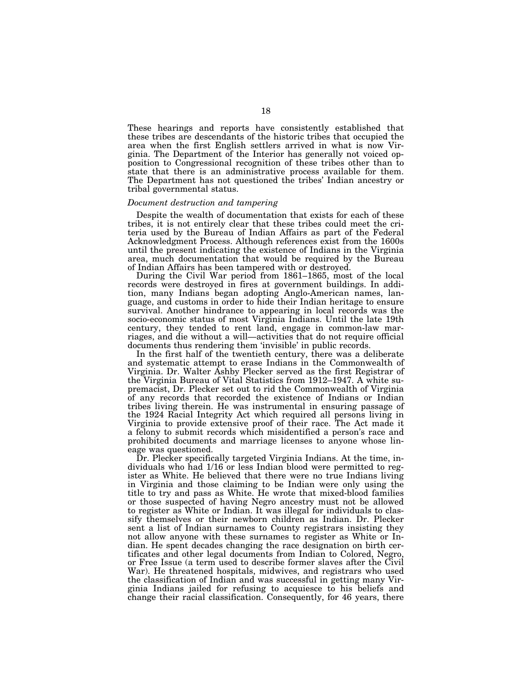These hearings and reports have consistently established that these tribes are descendants of the historic tribes that occupied the area when the first English settlers arrived in what is now Virginia. The Department of the Interior has generally not voiced opposition to Congressional recognition of these tribes other than to state that there is an administrative process available for them. The Department has not questioned the tribes' Indian ancestry or tribal governmental status.

#### *Document destruction and tampering*

Despite the wealth of documentation that exists for each of these tribes, it is not entirely clear that these tribes could meet the criteria used by the Bureau of Indian Affairs as part of the Federal Acknowledgment Process. Although references exist from the 1600s until the present indicating the existence of Indians in the Virginia area, much documentation that would be required by the Bureau of Indian Affairs has been tampered with or destroyed.

During the Civil War period from 1861–1865, most of the local records were destroyed in fires at government buildings. In addition, many Indians began adopting Anglo-American names, language, and customs in order to hide their Indian heritage to ensure survival. Another hindrance to appearing in local records was the socio-economic status of most Virginia Indians. Until the late 19th century, they tended to rent land, engage in common-law marriages, and die without a will—activities that do not require official documents thus rendering them 'invisible' in public records.

In the first half of the twentieth century, there was a deliberate and systematic attempt to erase Indians in the Commonwealth of Virginia. Dr. Walter Ashby Plecker served as the first Registrar of the Virginia Bureau of Vital Statistics from 1912–1947. A white supremacist, Dr. Plecker set out to rid the Commonwealth of Virginia of any records that recorded the existence of Indians or Indian tribes living therein. He was instrumental in ensuring passage of the 1924 Racial Integrity Act which required all persons living in Virginia to provide extensive proof of their race. The Act made it a felony to submit records which misidentified a person's race and prohibited documents and marriage licenses to anyone whose lineage was questioned.

Dr. Plecker specifically targeted Virginia Indians. At the time, individuals who had 1/16 or less Indian blood were permitted to register as White. He believed that there were no true Indians living in Virginia and those claiming to be Indian were only using the title to try and pass as White. He wrote that mixed-blood families or those suspected of having Negro ancestry must not be allowed to register as White or Indian. It was illegal for individuals to classify themselves or their newborn children as Indian. Dr. Plecker sent a list of Indian surnames to County registrars insisting they not allow anyone with these surnames to register as White or Indian. He spent decades changing the race designation on birth certificates and other legal documents from Indian to Colored, Negro, or Free Issue (a term used to describe former slaves after the Civil War). He threatened hospitals, midwives, and registrars who used the classification of Indian and was successful in getting many Virginia Indians jailed for refusing to acquiesce to his beliefs and change their racial classification. Consequently, for 46 years, there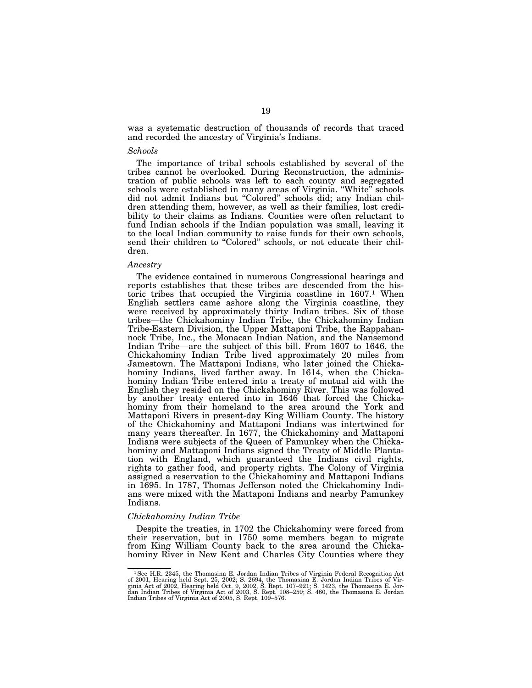was a systematic destruction of thousands of records that traced and recorded the ancestry of Virginia's Indians.

### *Schools*

The importance of tribal schools established by several of the tribes cannot be overlooked. During Reconstruction, the administration of public schools was left to each county and segregated schools were established in many areas of Virginia. "White" schools did not admit Indians but "Colored" schools did; any Indian children attending them, however, as well as their families, lost credibility to their claims as Indians. Counties were often reluctant to fund Indian schools if the Indian population was small, leaving it to the local Indian community to raise funds for their own schools, send their children to "Colored" schools, or not educate their children.

#### *Ancestry*

The evidence contained in numerous Congressional hearings and reports establishes that these tribes are descended from the historic tribes that occupied the Virginia coastline in 1607.1 When English settlers came ashore along the Virginia coastline, they were received by approximately thirty Indian tribes. Six of those tribes—the Chickahominy Indian Tribe, the Chickahominy Indian Tribe-Eastern Division, the Upper Mattaponi Tribe, the Rappahannock Tribe, Inc., the Monacan Indian Nation, and the Nansemond Indian Tribe—are the subject of this bill. From 1607 to 1646, the Chickahominy Indian Tribe lived approximately 20 miles from Jamestown. The Mattaponi Indians, who later joined the Chickahominy Indians, lived farther away. In 1614, when the Chickahominy Indian Tribe entered into a treaty of mutual aid with the English they resided on the Chickahominy River. This was followed by another treaty entered into in 1646 that forced the Chickahominy from their homeland to the area around the York and Mattaponi Rivers in present-day King William County. The history of the Chickahominy and Mattaponi Indians was intertwined for many years thereafter. In 1677, the Chickahominy and Mattaponi Indians were subjects of the Queen of Pamunkey when the Chickahominy and Mattaponi Indians signed the Treaty of Middle Plantation with England, which guaranteed the Indians civil rights, rights to gather food, and property rights. The Colony of Virginia assigned a reservation to the Chickahominy and Mattaponi Indians in 1695. In 1787, Thomas Jefferson noted the Chickahominy Indians were mixed with the Mattaponi Indians and nearby Pamunkey Indians.

# *Chickahominy Indian Tribe*

Despite the treaties, in 1702 the Chickahominy were forced from their reservation, but in 1750 some members began to migrate from King William County back to the area around the Chickahominy River in New Kent and Charles City Counties where they

<sup>&</sup>lt;sup>1</sup> See H.R. 2345, the Thomasina E. Jordan Indian Tribes of Virginia Federal Recognition Act of 2001, Hearing held Sept. 25, 2002; S. 2694, the Thomasina E. Jordan Indian Tribes of Virginia Act of 2002, S. Rept. 107–921;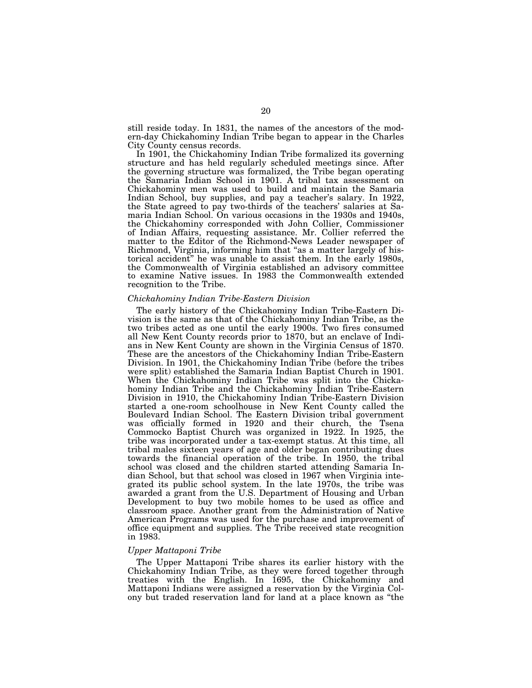still reside today. In 1831, the names of the ancestors of the modern-day Chickahominy Indian Tribe began to appear in the Charles City County census records.

In 1901, the Chickahominy Indian Tribe formalized its governing structure and has held regularly scheduled meetings since. After the governing structure was formalized, the Tribe began operating the Samaria Indian School in 1901. A tribal tax assessment on Chickahominy men was used to build and maintain the Samaria Indian School, buy supplies, and pay a teacher's salary. In 1922, the State agreed to pay two-thirds of the teachers' salaries at Samaria Indian School. On various occasions in the 1930s and 1940s, the Chickahominy corresponded with John Collier, Commissioner of Indian Affairs, requesting assistance. Mr. Collier referred the matter to the Editor of the Richmond-News Leader newspaper of Richmond, Virginia, informing him that ''as a matter largely of historical accident'' he was unable to assist them. In the early 1980s, the Commonwealth of Virginia established an advisory committee to examine Native issues. In 1983 the Commonwealth extended recognition to the Tribe.

### *Chickahominy Indian Tribe-Eastern Division*

The early history of the Chickahominy Indian Tribe-Eastern Division is the same as that of the Chickahominy Indian Tribe, as the two tribes acted as one until the early 1900s. Two fires consumed all New Kent County records prior to 1870, but an enclave of Indians in New Kent County are shown in the Virginia Census of 1870. These are the ancestors of the Chickahominy Indian Tribe-Eastern Division. In 1901, the Chickahominy Indian Tribe (before the tribes were split) established the Samaria Indian Baptist Church in 1901. When the Chickahominy Indian Tribe was split into the Chickahominy Indian Tribe and the Chickahominy Indian Tribe-Eastern Division in 1910, the Chickahominy Indian Tribe-Eastern Division started a one-room schoolhouse in New Kent County called the Boulevard Indian School. The Eastern Division tribal government was officially formed in 1920 and their church, the Tsena Commocko Baptist Church was organized in 1922. In 1925, the tribe was incorporated under a tax-exempt status. At this time, all tribal males sixteen years of age and older began contributing dues towards the financial operation of the tribe. In 1950, the tribal school was closed and the children started attending Samaria Indian School, but that school was closed in 1967 when Virginia integrated its public school system. In the late 1970s, the tribe was awarded a grant from the U.S. Department of Housing and Urban Development to buy two mobile homes to be used as office and classroom space. Another grant from the Administration of Native American Programs was used for the purchase and improvement of office equipment and supplies. The Tribe received state recognition in 1983.

#### *Upper Mattaponi Tribe*

The Upper Mattaponi Tribe shares its earlier history with the Chickahominy Indian Tribe, as they were forced together through treaties with the English. In 1695, the Chickahominy and Mattaponi Indians were assigned a reservation by the Virginia Colony but traded reservation land for land at a place known as ''the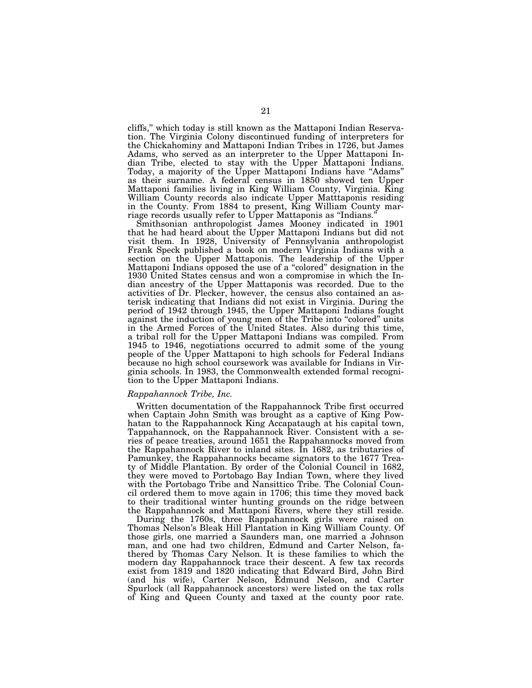cliffs,'' which today is still known as the Mattaponi Indian Reservation. The Virginia Colony discontinued funding of interpreters for the Chickahominy and Mattaponi Indian Tribes in 1726, but James Adams, who served as an interpreter to the Upper Mattaponi Indian Tribe, elected to stay with the Upper Mattaponi Indians. Today, a majority of the Upper Mattaponi Indians have ''Adams'' as their surname. A federal census in 1850 showed ten Upper Mattaponi families living in King William County, Virginia. King William County records also indicate Upper Matttaponis residing in the County. From 1884 to present, King William County marriage records usually refer to Upper Mattaponis as ''Indians.''

Smithsonian anthropologist James Mooney indicated in 1901 that he had heard about the Upper Mattaponi Indians but did not visit them. In 1928, University of Pennsylvania anthropologist Frank Speck published a book on modern Virginia Indians with a section on the Upper Mattaponis. The leadership of the Upper Mattaponi Indians opposed the use of a ''colored'' designation in the 1930 United States census and won a compromise in which the Indian ancestry of the Upper Mattaponis was recorded. Due to the activities of Dr. Plecker, however, the census also contained an asterisk indicating that Indians did not exist in Virginia. During the period of 1942 through 1945, the Upper Mattaponi Indians fought against the induction of young men of the Tribe into "colored" units in the Armed Forces of the United States. Also during this time, a tribal roll for the Upper Mattaponi Indians was compiled. From 1945 to 1946, negotiations occurred to admit some of the young people of the Upper Mattaponi to high schools for Federal Indians because no high school coursework was available for Indians in Virginia schools. In 1983, the Commonwealth extended formal recognition to the Upper Mattaponi Indians.

### *Rappahannock Tribe, Inc.*

Written documentation of the Rappahannock Tribe first occurred when Captain John Smith was brought as a captive of King Powhatan to the Rappahannock King Accapataugh at his capital town, Tappahannock, on the Rappahannock River. Consistent with a series of peace treaties, around 1651 the Rappahannocks moved from the Rappahannock River to inland sites. In 1682, as tributaries of Pamunkey, the Rappahannocks became signators to the 1677 Treaty of Middle Plantation. By order of the Colonial Council in 1682, they were moved to Portobago Bay Indian Town, where they lived with the Portobago Tribe and Nansittico Tribe. The Colonial Council ordered them to move again in 1706; this time they moved back to their traditional winter hunting grounds on the ridge between the Rappahannock and Mattaponi Rivers, where they still reside.

During the 1760s, three Rappahannock girls were raised on Thomas Nelson's Bleak Hill Plantation in King William County. Of those girls, one married a Saunders man, one married a Johnson man, and one had two children, Edmund and Carter Nelson, fathered by Thomas Cary Nelson. It is these families to which the modern day Rappahannock trace their descent. A few tax records exist from 1819 and 1820 indicating that Edward Bird, John Bird (and his wife), Carter Nelson, Edmund Nelson, and Carter Spurlock (all Rappahannock ancestors) were listed on the tax rolls of King and Queen County and taxed at the county poor rate.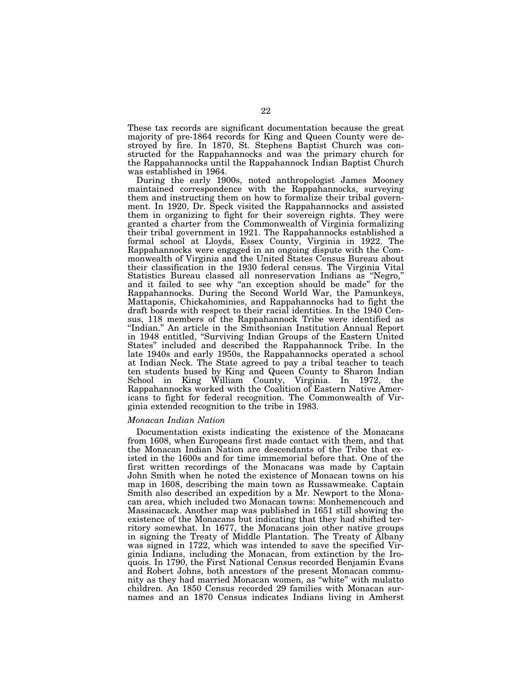These tax records are significant documentation because the great majority of pre-1864 records for King and Queen County were destroyed by fire. In 1870, St. Stephens Baptist Church was constructed for the Rappahannocks and was the primary church for the Rappahannocks until the Rappahannock Indian Baptist Church was established in 1964.

During the early 1900s, noted anthropologist James Mooney maintained correspondence with the Rappahannocks, surveying them and instructing them on how to formalize their tribal government. In 1920, Dr. Speck visited the Rappahannocks and assisted them in organizing to fight for their sovereign rights. They were granted a charter from the Commonwealth of Virginia formalizing their tribal government in 1921. The Rappahannocks established a formal school at Lloyds, Essex County, Virginia in 1922. The Rappahannocks were engaged in an ongoing dispute with the Commonwealth of Virginia and the United States Census Bureau about their classification in the 1930 federal census. The Virginia Vital Statistics Bureau classed all nonreservation Indians as ''Negro,'' and it failed to see why ''an exception should be made'' for the Rappahannocks. During the Second World War, the Pamunkeys, Mattaponis, Chickahominies, and Rappahannocks had to fight the draft boards with respect to their racial identities. In the 1940 Census, 118 members of the Rappahannock Tribe were identified as ''Indian.'' An article in the Smithsonian Institution Annual Report in 1948 entitled, ''Surviving Indian Groups of the Eastern United States'' included and described the Rappahannock Tribe. In the late 1940s and early 1950s, the Rappahannocks operated a school at Indian Neck. The State agreed to pay a tribal teacher to teach ten students bused by King and Queen County to Sharon Indian School in King William County, Virginia. In 1972, the Rappahannocks worked with the Coalition of Eastern Native Americans to fight for federal recognition. The Commonwealth of Virginia extended recognition to the tribe in 1983.

### *Monacan Indian Nation*

Documentation exists indicating the existence of the Monacans from 1608, when Europeans first made contact with them, and that the Monacan Indian Nation are descendants of the Tribe that existed in the 1600s and for time immemorial before that. One of the first written recordings of the Monacans was made by Captain John Smith when he noted the existence of Monacan towns on his map in 1608, describing the main town as Russawmeake. Captain Smith also described an expedition by a Mr. Newport to the Monacan area, which included two Monacan towns: Monhemencouch and Massinacack. Another map was published in 1651 still showing the existence of the Monacans but indicating that they had shifted territory somewhat. In 1677, the Monacans join other native groups in signing the Treaty of Middle Plantation. The Treaty of Albany was signed in 1722, which was intended to save the specified Virginia Indians, including the Monacan, from extinction by the Iroquois. In 1790, the First National Census recorded Benjamin Evans and Robert Johns, both ancestors of the present Monacan community as they had married Monacan women, as ''white'' with mulatto children. An 1850 Census recorded 29 families with Monacan surnames and an 1870 Census indicates Indians living in Amherst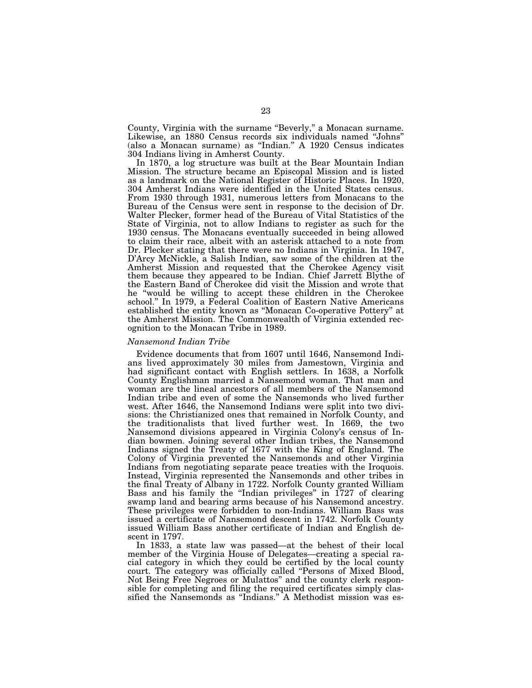County, Virginia with the surname ''Beverly,'' a Monacan surname. Likewise, an 1880 Census records six individuals named ''Johns'' (also a Monacan surname) as ''Indian.'' A 1920 Census indicates 304 Indians living in Amherst County.

In 1870, a log structure was built at the Bear Mountain Indian Mission. The structure became an Episcopal Mission and is listed as a landmark on the National Register of Historic Places. In 1920, 304 Amherst Indians were identified in the United States census. From 1930 through 1931, numerous letters from Monacans to the Bureau of the Census were sent in response to the decision of Dr. Walter Plecker, former head of the Bureau of Vital Statistics of the State of Virginia, not to allow Indians to register as such for the 1930 census. The Monacans eventually succeeded in being allowed to claim their race, albeit with an asterisk attached to a note from Dr. Plecker stating that there were no Indians in Virginia. In 1947, D'Arcy McNickle, a Salish Indian, saw some of the children at the Amherst Mission and requested that the Cherokee Agency visit them because they appeared to be Indian. Chief Jarrett Blythe of the Eastern Band of Cherokee did visit the Mission and wrote that he ''would be willing to accept these children in the Cherokee school.'' In 1979, a Federal Coalition of Eastern Native Americans established the entity known as ''Monacan Co-operative Pottery'' at the Amherst Mission. The Commonwealth of Virginia extended recognition to the Monacan Tribe in 1989.

### *Nansemond Indian Tribe*

Evidence documents that from 1607 until 1646, Nansemond Indians lived approximately 30 miles from Jamestown, Virginia and had significant contact with English settlers. In 1638, a Norfolk County Englishman married a Nansemond woman. That man and woman are the lineal ancestors of all members of the Nansemond Indian tribe and even of some the Nansemonds who lived further west. After 1646, the Nansemond Indians were split into two divisions: the Christianized ones that remained in Norfolk County, and the traditionalists that lived further west. In 1669, the two Nansemond divisions appeared in Virginia Colony's census of Indian bowmen. Joining several other Indian tribes, the Nansemond Indians signed the Treaty of 1677 with the King of England. The Colony of Virginia prevented the Nansemonds and other Virginia Indians from negotiating separate peace treaties with the Iroquois. Instead, Virginia represented the Nansemonds and other tribes in the final Treaty of Albany in 1722. Norfolk County granted William Bass and his family the ''Indian privileges'' in 1727 of clearing swamp land and bearing arms because of his Nansemond ancestry. These privileges were forbidden to non-Indians. William Bass was issued a certificate of Nansemond descent in 1742. Norfolk County issued William Bass another certificate of Indian and English descent in 1797.

In 1833, a state law was passed—at the behest of their local member of the Virginia House of Delegates—creating a special racial category in which they could be certified by the local county court. The category was officially called "Persons of Mixed Blood, Not Being Free Negroes or Mulattos'' and the county clerk responsible for completing and filing the required certificates simply classified the Nansemonds as "Indians." A Methodist mission was es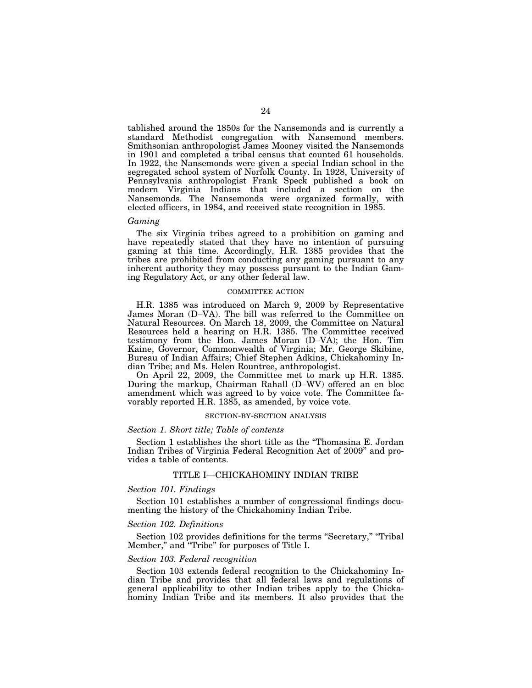tablished around the 1850s for the Nansemonds and is currently a standard Methodist congregation with Nansemond members. Smithsonian anthropologist James Mooney visited the Nansemonds in 1901 and completed a tribal census that counted 61 households. In 1922, the Nansemonds were given a special Indian school in the segregated school system of Norfolk County. In 1928, University of Pennsylvania anthropologist Frank Speck published a book on modern Virginia Indians that included a section on the Nansemonds. The Nansemonds were organized formally, with elected officers, in 1984, and received state recognition in 1985.

#### *Gaming*

The six Virginia tribes agreed to a prohibition on gaming and have repeatedly stated that they have no intention of pursuing gaming at this time. Accordingly, H.R. 1385 provides that the tribes are prohibited from conducting any gaming pursuant to any inherent authority they may possess pursuant to the Indian Gaming Regulatory Act, or any other federal law.

# COMMITTEE ACTION

H.R. 1385 was introduced on March 9, 2009 by Representative James Moran (D–VA). The bill was referred to the Committee on Natural Resources. On March 18, 2009, the Committee on Natural Resources held a hearing on H.R. 1385. The Committee received testimony from the Hon. James Moran (D–VA); the Hon. Tim Kaine, Governor, Commonwealth of Virginia; Mr. George Skibine, Bureau of Indian Affairs; Chief Stephen Adkins, Chickahominy Indian Tribe; and Ms. Helen Rountree, anthropologist.

On April 22, 2009, the Committee met to mark up H.R. 1385. During the markup, Chairman Rahall (D–WV) offered an en bloc amendment which was agreed to by voice vote. The Committee favorably reported H.R. 1385, as amended, by voice vote.

# SECTION-BY-SECTION ANALYSIS

# *Section 1. Short title; Table of contents*

Section 1 establishes the short title as the ''Thomasina E. Jordan Indian Tribes of Virginia Federal Recognition Act of 2009'' and provides a table of contents.

# TITLE I—CHICKAHOMINY INDIAN TRIBE

# *Section 101. Findings*

Section 101 establishes a number of congressional findings documenting the history of the Chickahominy Indian Tribe.

# *Section 102. Definitions*

Section 102 provides definitions for the terms "Secretary," "Tribal Member,'' and ''Tribe'' for purposes of Title I.

# *Section 103. Federal recognition*

Section 103 extends federal recognition to the Chickahominy Indian Tribe and provides that all federal laws and regulations of general applicability to other Indian tribes apply to the Chickahominy Indian Tribe and its members. It also provides that the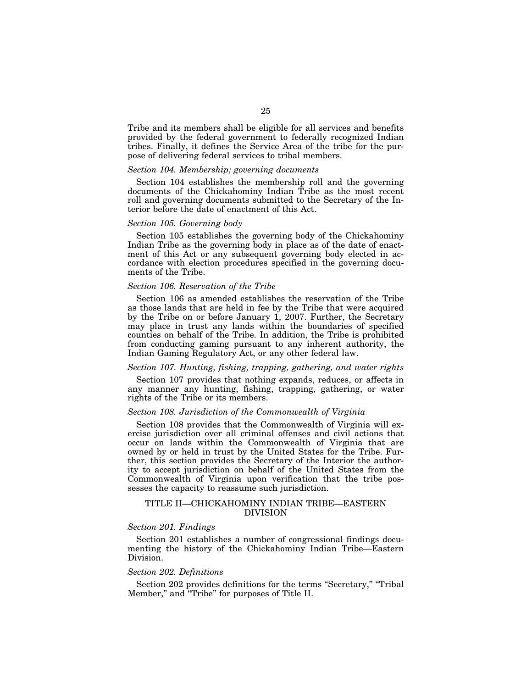Tribe and its members shall be eligible for all services and benefits provided by the federal government to federally recognized Indian tribes. Finally, it defines the Service Area of the tribe for the purpose of delivering federal services to tribal members.

#### *Section 104. Membership; governing documents*

Section 104 establishes the membership roll and the governing documents of the Chickahominy Indian Tribe as the most recent roll and governing documents submitted to the Secretary of the Interior before the date of enactment of this Act.

# *Section 105. Governing body*

Section 105 establishes the governing body of the Chickahominy Indian Tribe as the governing body in place as of the date of enactment of this Act or any subsequent governing body elected in accordance with election procedures specified in the governing documents of the Tribe.

# *Section 106. Reservation of the Tribe*

Section 106 as amended establishes the reservation of the Tribe as those lands that are held in fee by the Tribe that were acquired by the Tribe on or before January 1, 2007. Further, the Secretary may place in trust any lands within the boundaries of specified counties on behalf of the Tribe. In addition, the Tribe is prohibited from conducting gaming pursuant to any inherent authority, the Indian Gaming Regulatory Act, or any other federal law.

# *Section 107. Hunting, fishing, trapping, gathering, and water rights*

Section 107 provides that nothing expands, reduces, or affects in any manner any hunting, fishing, trapping, gathering, or water rights of the Tribe or its members.

### *Section 108. Jurisdiction of the Commonwealth of Virginia*

Section 108 provides that the Commonwealth of Virginia will exercise jurisdiction over all criminal offenses and civil actions that occur on lands within the Commonwealth of Virginia that are owned by or held in trust by the United States for the Tribe. Further, this section provides the Secretary of the Interior the authority to accept jurisdiction on behalf of the United States from the Commonwealth of Virginia upon verification that the tribe possesses the capacity to reassume such jurisdiction.

# TITLE II—CHICKAHOMINY INDIAN TRIBE—EASTERN DIVISION

# *Section 201. Findings*

Section 201 establishes a number of congressional findings documenting the history of the Chickahominy Indian Tribe—Eastern Division.

### *Section 202. Definitions*

Section 202 provides definitions for the terms "Secretary," "Tribal" Member,'' and ''Tribe'' for purposes of Title II.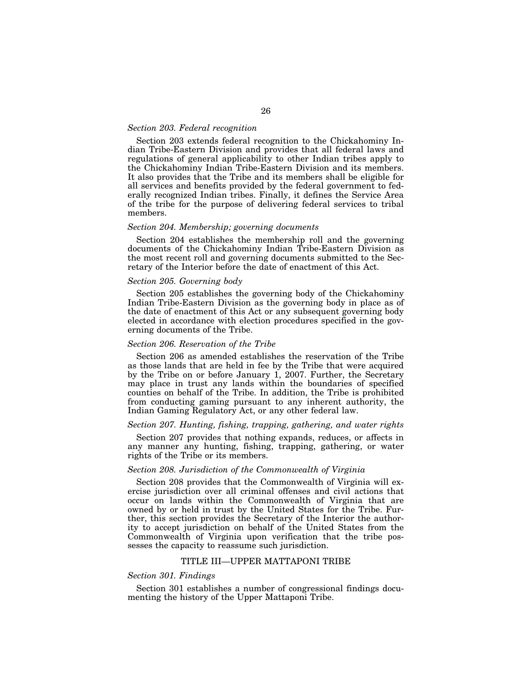### *Section 203. Federal recognition*

Section 203 extends federal recognition to the Chickahominy Indian Tribe-Eastern Division and provides that all federal laws and regulations of general applicability to other Indian tribes apply to the Chickahominy Indian Tribe-Eastern Division and its members. It also provides that the Tribe and its members shall be eligible for all services and benefits provided by the federal government to federally recognized Indian tribes. Finally, it defines the Service Area of the tribe for the purpose of delivering federal services to tribal members.

# *Section 204. Membership; governing documents*

Section 204 establishes the membership roll and the governing documents of the Chickahominy Indian Tribe-Eastern Division as the most recent roll and governing documents submitted to the Secretary of the Interior before the date of enactment of this Act.

# *Section 205. Governing body*

Section 205 establishes the governing body of the Chickahominy Indian Tribe-Eastern Division as the governing body in place as of the date of enactment of this Act or any subsequent governing body elected in accordance with election procedures specified in the governing documents of the Tribe.

# *Section 206. Reservation of the Tribe*

Section 206 as amended establishes the reservation of the Tribe as those lands that are held in fee by the Tribe that were acquired by the Tribe on or before January 1, 2007. Further, the Secretary may place in trust any lands within the boundaries of specified counties on behalf of the Tribe. In addition, the Tribe is prohibited from conducting gaming pursuant to any inherent authority, the Indian Gaming Regulatory Act, or any other federal law.

# *Section 207. Hunting, fishing, trapping, gathering, and water rights*

Section 207 provides that nothing expands, reduces, or affects in any manner any hunting, fishing, trapping, gathering, or water rights of the Tribe or its members.

# *Section 208. Jurisdiction of the Commonwealth of Virginia*

Section 208 provides that the Commonwealth of Virginia will exercise jurisdiction over all criminal offenses and civil actions that occur on lands within the Commonwealth of Virginia that are owned by or held in trust by the United States for the Tribe. Further, this section provides the Secretary of the Interior the authority to accept jurisdiction on behalf of the United States from the Commonwealth of Virginia upon verification that the tribe possesses the capacity to reassume such jurisdiction.

### TITLE III—UPPER MATTAPONI TRIBE

# *Section 301. Findings*

Section 301 establishes a number of congressional findings documenting the history of the Upper Mattaponi Tribe.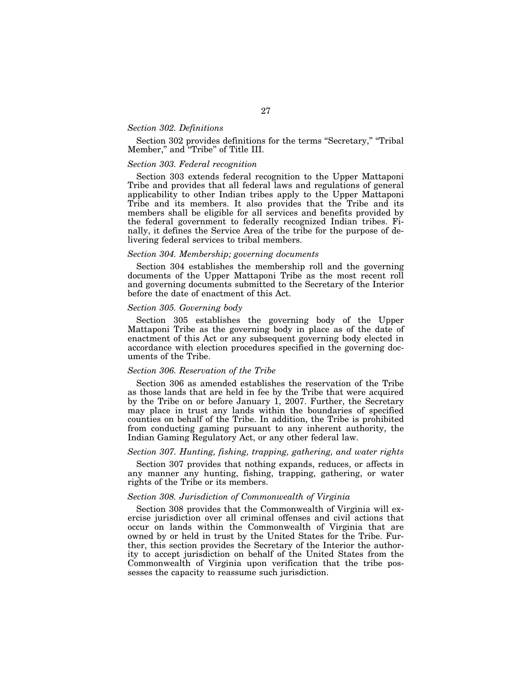# *Section 302. Definitions*

Section 302 provides definitions for the terms "Secretary," "Tribal Member," and "Tribe" of Title III.

# *Section 303. Federal recognition*

Section 303 extends federal recognition to the Upper Mattaponi Tribe and provides that all federal laws and regulations of general applicability to other Indian tribes apply to the Upper Mattaponi Tribe and its members. It also provides that the Tribe and its members shall be eligible for all services and benefits provided by the federal government to federally recognized Indian tribes. Finally, it defines the Service Area of the tribe for the purpose of delivering federal services to tribal members.

# *Section 304. Membership; governing documents*

Section 304 establishes the membership roll and the governing documents of the Upper Mattaponi Tribe as the most recent roll and governing documents submitted to the Secretary of the Interior before the date of enactment of this Act.

# *Section 305. Governing body*

Section 305 establishes the governing body of the Upper Mattaponi Tribe as the governing body in place as of the date of enactment of this Act or any subsequent governing body elected in accordance with election procedures specified in the governing documents of the Tribe.

# *Section 306. Reservation of the Tribe*

Section 306 as amended establishes the reservation of the Tribe as those lands that are held in fee by the Tribe that were acquired by the Tribe on or before January 1, 2007. Further, the Secretary may place in trust any lands within the boundaries of specified counties on behalf of the Tribe. In addition, the Tribe is prohibited from conducting gaming pursuant to any inherent authority, the Indian Gaming Regulatory Act, or any other federal law.

#### *Section 307. Hunting, fishing, trapping, gathering, and water rights*

Section 307 provides that nothing expands, reduces, or affects in any manner any hunting, fishing, trapping, gathering, or water rights of the Tribe or its members.

# *Section 308. Jurisdiction of Commonwealth of Virginia*

Section 308 provides that the Commonwealth of Virginia will exercise jurisdiction over all criminal offenses and civil actions that occur on lands within the Commonwealth of Virginia that are owned by or held in trust by the United States for the Tribe. Further, this section provides the Secretary of the Interior the authority to accept jurisdiction on behalf of the United States from the Commonwealth of Virginia upon verification that the tribe possesses the capacity to reassume such jurisdiction.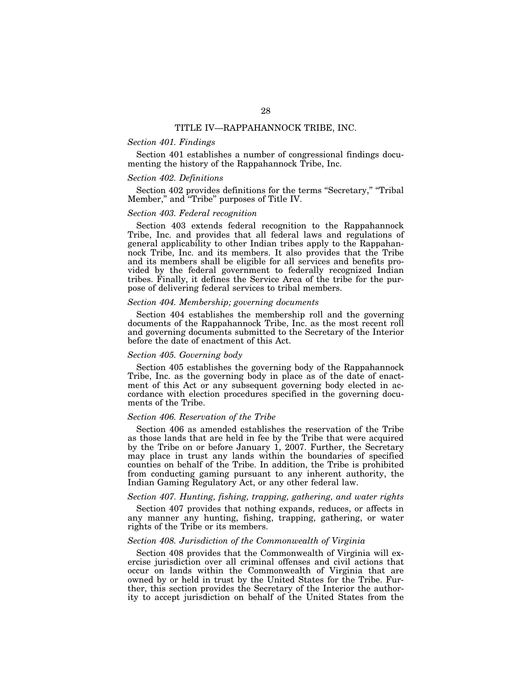# TITLE IV—RAPPAHANNOCK TRIBE, INC.

# *Section 401. Findings*

Section 401 establishes a number of congressional findings documenting the history of the Rappahannock Tribe, Inc.

### *Section 402. Definitions*

Section 402 provides definitions for the terms "Secretary," "Tribal Member,'' and ''Tribe'' purposes of Title IV.

### *Section 403. Federal recognition*

Section 403 extends federal recognition to the Rappahannock Tribe, Inc. and provides that all federal laws and regulations of general applicability to other Indian tribes apply to the Rappahannock Tribe, Inc. and its members. It also provides that the Tribe and its members shall be eligible for all services and benefits provided by the federal government to federally recognized Indian tribes. Finally, it defines the Service Area of the tribe for the purpose of delivering federal services to tribal members.

### *Section 404. Membership; governing documents*

Section 404 establishes the membership roll and the governing documents of the Rappahannock Tribe, Inc. as the most recent roll and governing documents submitted to the Secretary of the Interior before the date of enactment of this Act.

### *Section 405. Governing body*

Section 405 establishes the governing body of the Rappahannock Tribe, Inc. as the governing body in place as of the date of enactment of this Act or any subsequent governing body elected in accordance with election procedures specified in the governing documents of the Tribe.

# *Section 406. Reservation of the Tribe*

Section 406 as amended establishes the reservation of the Tribe as those lands that are held in fee by the Tribe that were acquired by the Tribe on or before January 1, 2007. Further, the Secretary may place in trust any lands within the boundaries of specified counties on behalf of the Tribe. In addition, the Tribe is prohibited from conducting gaming pursuant to any inherent authority, the Indian Gaming Regulatory Act, or any other federal law.

# *Section 407. Hunting, fishing, trapping, gathering, and water rights*

Section 407 provides that nothing expands, reduces, or affects in any manner any hunting, fishing, trapping, gathering, or water rights of the Tribe or its members.

# *Section 408. Jurisdiction of the Commonwealth of Virginia*

Section 408 provides that the Commonwealth of Virginia will exercise jurisdiction over all criminal offenses and civil actions that occur on lands within the Commonwealth of Virginia that are owned by or held in trust by the United States for the Tribe. Further, this section provides the Secretary of the Interior the authority to accept jurisdiction on behalf of the United States from the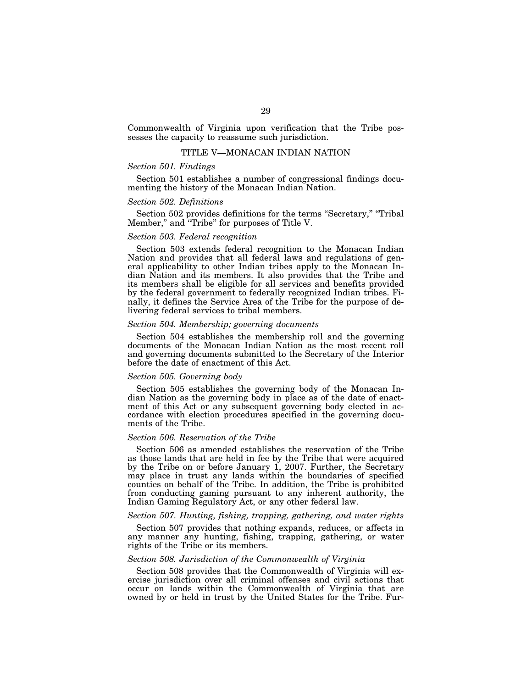Commonwealth of Virginia upon verification that the Tribe possesses the capacity to reassume such jurisdiction.

# TITLE V—MONACAN INDIAN NATION

# *Section 501. Findings*

Section 501 establishes a number of congressional findings documenting the history of the Monacan Indian Nation.

# *Section 502. Definitions*

Section 502 provides definitions for the terms "Secretary," "Tribal Member," and "Tribe" for purposes of Title V.

# *Section 503. Federal recognition*

Section 503 extends federal recognition to the Monacan Indian Nation and provides that all federal laws and regulations of general applicability to other Indian tribes apply to the Monacan Indian Nation and its members. It also provides that the Tribe and its members shall be eligible for all services and benefits provided by the federal government to federally recognized Indian tribes. Finally, it defines the Service Area of the Tribe for the purpose of delivering federal services to tribal members.

# *Section 504. Membership; governing documents*

Section 504 establishes the membership roll and the governing documents of the Monacan Indian Nation as the most recent roll and governing documents submitted to the Secretary of the Interior before the date of enactment of this Act.

# *Section 505. Governing body*

Section 505 establishes the governing body of the Monacan Indian Nation as the governing body in place as of the date of enactment of this Act or any subsequent governing body elected in accordance with election procedures specified in the governing documents of the Tribe.

#### *Section 506. Reservation of the Tribe*

Section 506 as amended establishes the reservation of the Tribe as those lands that are held in fee by the Tribe that were acquired by the Tribe on or before January 1, 2007. Further, the Secretary may place in trust any lands within the boundaries of specified counties on behalf of the Tribe. In addition, the Tribe is prohibited from conducting gaming pursuant to any inherent authority, the Indian Gaming Regulatory Act, or any other federal law.

# *Section 507. Hunting, fishing, trapping, gathering, and water rights*

Section 507 provides that nothing expands, reduces, or affects in any manner any hunting, fishing, trapping, gathering, or water rights of the Tribe or its members.

# *Section 508. Jurisdiction of the Commonwealth of Virginia*

Section 508 provides that the Commonwealth of Virginia will exercise jurisdiction over all criminal offenses and civil actions that occur on lands within the Commonwealth of Virginia that are owned by or held in trust by the United States for the Tribe. Fur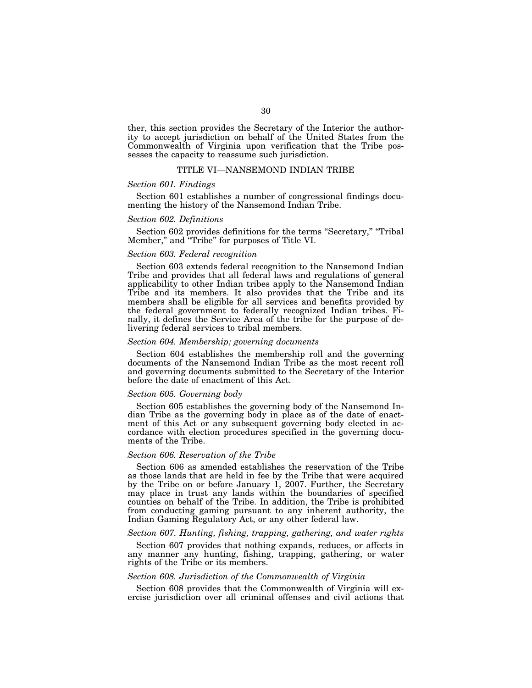ther, this section provides the Secretary of the Interior the authority to accept jurisdiction on behalf of the United States from the Commonwealth of Virginia upon verification that the Tribe possesses the capacity to reassume such jurisdiction.

#### TITLE VI—NANSEMOND INDIAN TRIBE

# *Section 601. Findings*

Section 601 establishes a number of congressional findings documenting the history of the Nansemond Indian Tribe.

#### *Section 602. Definitions*

Section 602 provides definitions for the terms "Secretary," "Tribal" Member,'' and ''Tribe'' for purposes of Title VI.

# *Section 603. Federal recognition*

Section 603 extends federal recognition to the Nansemond Indian Tribe and provides that all federal laws and regulations of general applicability to other Indian tribes apply to the Nansemond Indian Tribe and its members. It also provides that the Tribe and its members shall be eligible for all services and benefits provided by the federal government to federally recognized Indian tribes. Finally, it defines the Service Area of the tribe for the purpose of delivering federal services to tribal members.

#### *Section 604. Membership; governing documents*

Section 604 establishes the membership roll and the governing documents of the Nansemond Indian Tribe as the most recent roll and governing documents submitted to the Secretary of the Interior before the date of enactment of this Act.

#### *Section 605. Governing body*

Section 605 establishes the governing body of the Nansemond Indian Tribe as the governing body in place as of the date of enactment of this Act or any subsequent governing body elected in accordance with election procedures specified in the governing documents of the Tribe.

# *Section 606. Reservation of the Tribe*

Section 606 as amended establishes the reservation of the Tribe as those lands that are held in fee by the Tribe that were acquired by the Tribe on or before January 1, 2007. Further, the Secretary may place in trust any lands within the boundaries of specified counties on behalf of the Tribe. In addition, the Tribe is prohibited from conducting gaming pursuant to any inherent authority, the Indian Gaming Regulatory Act, or any other federal law.

#### *Section 607. Hunting, fishing, trapping, gathering, and water rights*

Section 607 provides that nothing expands, reduces, or affects in any manner any hunting, fishing, trapping, gathering, or water rights of the Tribe or its members.

# *Section 608. Jurisdiction of the Commonwealth of Virginia*

Section 608 provides that the Commonwealth of Virginia will exercise jurisdiction over all criminal offenses and civil actions that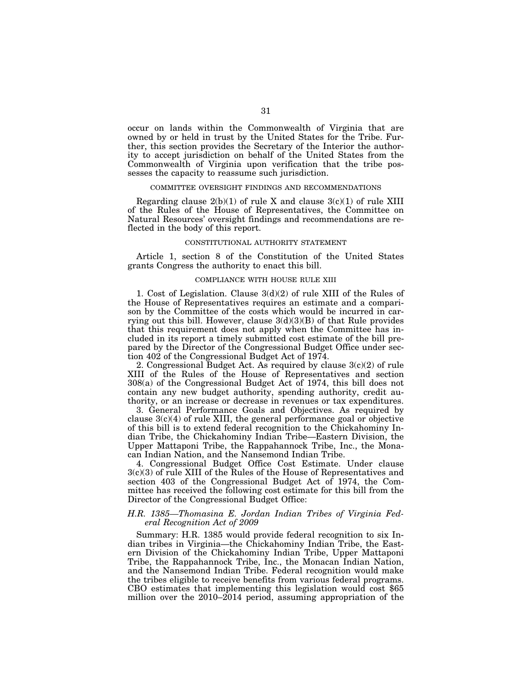occur on lands within the Commonwealth of Virginia that are owned by or held in trust by the United States for the Tribe. Further, this section provides the Secretary of the Interior the authority to accept jurisdiction on behalf of the United States from the Commonwealth of Virginia upon verification that the tribe possesses the capacity to reassume such jurisdiction.

#### COMMITTEE OVERSIGHT FINDINGS AND RECOMMENDATIONS

Regarding clause  $2(b)(1)$  of rule X and clause  $3(c)(1)$  of rule XIII of the Rules of the House of Representatives, the Committee on Natural Resources' oversight findings and recommendations are reflected in the body of this report.

### CONSTITUTIONAL AUTHORITY STATEMENT

Article 1, section 8 of the Constitution of the United States grants Congress the authority to enact this bill.

#### COMPLIANCE WITH HOUSE RULE XIII

1. Cost of Legislation. Clause 3(d)(2) of rule XIII of the Rules of the House of Representatives requires an estimate and a comparison by the Committee of the costs which would be incurred in carrying out this bill. However, clause  $3(d)(3)(B)$  of that Rule provides that this requirement does not apply when the Committee has included in its report a timely submitted cost estimate of the bill prepared by the Director of the Congressional Budget Office under section 402 of the Congressional Budget Act of 1974.

2. Congressional Budget Act. As required by clause 3(c)(2) of rule XIII of the Rules of the House of Representatives and section 308(a) of the Congressional Budget Act of 1974, this bill does not contain any new budget authority, spending authority, credit authority, or an increase or decrease in revenues or tax expenditures.

3. General Performance Goals and Objectives. As required by clause 3(c)(4) of rule XIII, the general performance goal or objective of this bill is to extend federal recognition to the Chickahominy Indian Tribe, the Chickahominy Indian Tribe—Eastern Division, the Upper Mattaponi Tribe, the Rappahannock Tribe, Inc., the Monacan Indian Nation, and the Nansemond Indian Tribe.

4. Congressional Budget Office Cost Estimate. Under clause 3(c)(3) of rule XIII of the Rules of the House of Representatives and section 403 of the Congressional Budget Act of 1974, the Committee has received the following cost estimate for this bill from the Director of the Congressional Budget Office:

## *H.R. 1385—Thomasina E. Jordan Indian Tribes of Virginia Federal Recognition Act of 2009*

Summary: H.R. 1385 would provide federal recognition to six Indian tribes in Virginia—the Chickahominy Indian Tribe, the Eastern Division of the Chickahominy Indian Tribe, Upper Mattaponi Tribe, the Rappahannock Tribe, Inc., the Monacan Indian Nation, and the Nansemond Indian Tribe. Federal recognition would make the tribes eligible to receive benefits from various federal programs. CBO estimates that implementing this legislation would cost \$65 million over the 2010–2014 period, assuming appropriation of the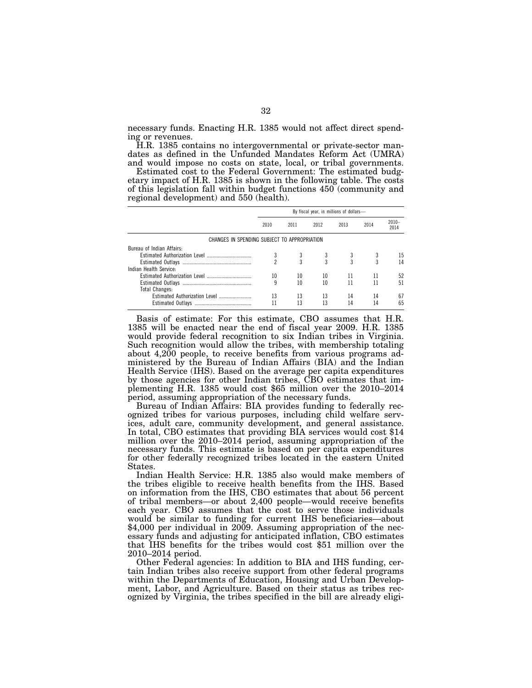necessary funds. Enacting H.R. 1385 would not affect direct spending or revenues.

H.R. 1385 contains no intergovernmental or private-sector mandates as defined in the Unfunded Mandates Reform Act (UMRA) and would impose no costs on state, local, or tribal governments.

Estimated cost to the Federal Government: The estimated budgetary impact of H.R. 1385 is shown in the following table. The costs of this legislation fall within budget functions 450 (community and regional development) and 550 (health).

|                                              | By fiscal year, in millions of dollars- |      |      |      |      |                  |
|----------------------------------------------|-----------------------------------------|------|------|------|------|------------------|
|                                              | 2010                                    | 2011 | 2012 | 2013 | 2014 | $2010 -$<br>2014 |
| CHANGES IN SPENDING SUBJECT TO APPROPRIATION |                                         |      |      |      |      |                  |
| Bureau of Indian Affairs.                    |                                         |      |      |      |      |                  |
|                                              |                                         |      |      |      |      | 15               |
|                                              |                                         |      |      | 3    |      | 14               |
| Indian Health Service:                       |                                         |      |      |      |      |                  |
|                                              | 10                                      | 10   | 10   | -11  | 11   | 52               |
|                                              | 9                                       | 10   | 10   | 11   |      | 51               |
| <b>Total Changes:</b>                        |                                         |      |      |      |      |                  |
| Estimated Authorization Level                | 13                                      | 13   | 13   | 14   | 14   | 67               |
|                                              |                                         | 13   | 13   | 14   | 14   | 65               |

Basis of estimate: For this estimate, CBO assumes that H.R. 1385 will be enacted near the end of fiscal year 2009. H.R. 1385 would provide federal recognition to six Indian tribes in Virginia. Such recognition would allow the tribes, with membership totaling about 4,200 people, to receive benefits from various programs administered by the Bureau of Indian Affairs (BIA) and the Indian Health Service (IHS). Based on the average per capita expenditures by those agencies for other Indian tribes, CBO estimates that implementing H.R. 1385 would cost \$65 million over the 2010–2014 period, assuming appropriation of the necessary funds.

Bureau of Indian Affairs: BIA provides funding to federally recognized tribes for various purposes, including child welfare services, adult care, community development, and general assistance. In total, CBO estimates that providing BIA services would cost \$14 million over the 2010–2014 period, assuming appropriation of the necessary funds. This estimate is based on per capita expenditures for other federally recognized tribes located in the eastern United States.

Indian Health Service: H.R. 1385 also would make members of the tribes eligible to receive health benefits from the IHS. Based on information from the IHS, CBO estimates that about 56 percent of tribal members—or about 2,400 people—would receive benefits each year. CBO assumes that the cost to serve those individuals would be similar to funding for current IHS beneficiaries—about \$4,000 per individual in 2009. Assuming appropriation of the necessary funds and adjusting for anticipated inflation, CBO estimates that IHS benefits for the tribes would cost \$51 million over the 2010–2014 period.

Other Federal agencies: In addition to BIA and IHS funding, certain Indian tribes also receive support from other federal programs within the Departments of Education, Housing and Urban Development, Labor, and Agriculture. Based on their status as tribes recognized by Virginia, the tribes specified in the bill are already eligi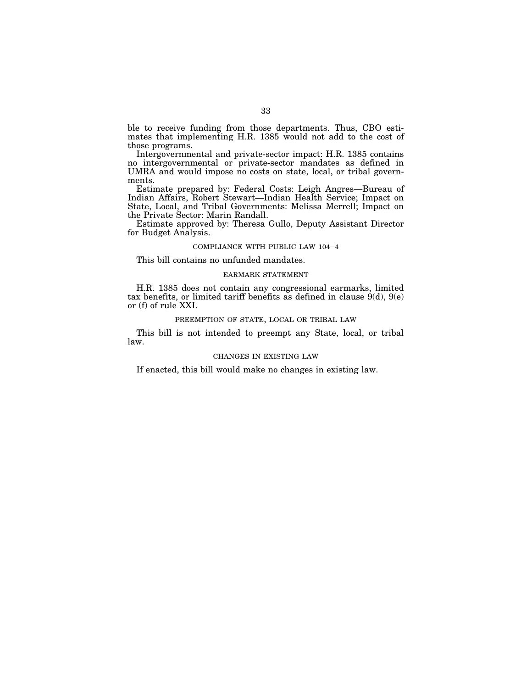ble to receive funding from those departments. Thus, CBO estimates that implementing H.R. 1385 would not add to the cost of those programs.

Intergovernmental and private-sector impact: H.R. 1385 contains no intergovernmental or private-sector mandates as defined in UMRA and would impose no costs on state, local, or tribal governments.

Estimate prepared by: Federal Costs: Leigh Angres—Bureau of Indian Affairs, Robert Stewart—Indian Health Service; Impact on State, Local, and Tribal Governments: Melissa Merrell; Impact on the Private Sector: Marin Randall.

Estimate approved by: Theresa Gullo, Deputy Assistant Director for Budget Analysis.

## COMPLIANCE WITH PUBLIC LAW 104–4

This bill contains no unfunded mandates.

### EARMARK STATEMENT

H.R. 1385 does not contain any congressional earmarks, limited tax benefits, or limited tariff benefits as defined in clause  $9(d)$ ,  $9(e)$ or (f) of rule XXI.

# PREEMPTION OF STATE, LOCAL OR TRIBAL LAW

This bill is not intended to preempt any State, local, or tribal law.

# CHANGES IN EXISTING LAW

If enacted, this bill would make no changes in existing law.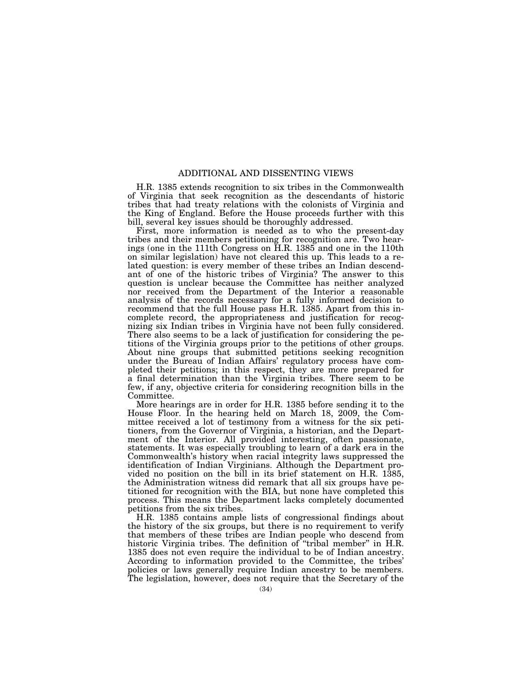# ADDITIONAL AND DISSENTING VIEWS

H.R. 1385 extends recognition to six tribes in the Commonwealth of Virginia that seek recognition as the descendants of historic tribes that had treaty relations with the colonists of Virginia and the King of England. Before the House proceeds further with this bill, several key issues should be thoroughly addressed.

First, more information is needed as to who the present-day tribes and their members petitioning for recognition are. Two hearings (one in the 111th Congress on H.R. 1385 and one in the 110th on similar legislation) have not cleared this up. This leads to a related question: is every member of these tribes an Indian descendant of one of the historic tribes of Virginia? The answer to this question is unclear because the Committee has neither analyzed nor received from the Department of the Interior a reasonable analysis of the records necessary for a fully informed decision to recommend that the full House pass H.R. 1385. Apart from this incomplete record, the appropriateness and justification for recognizing six Indian tribes in Virginia have not been fully considered. There also seems to be a lack of justification for considering the petitions of the Virginia groups prior to the petitions of other groups. About nine groups that submitted petitions seeking recognition under the Bureau of Indian Affairs' regulatory process have completed their petitions; in this respect, they are more prepared for a final determination than the Virginia tribes. There seem to be few, if any, objective criteria for considering recognition bills in the Committee.

More hearings are in order for H.R. 1385 before sending it to the House Floor. In the hearing held on March 18, 2009, the Committee received a lot of testimony from a witness for the six petitioners, from the Governor of Virginia, a historian, and the Department of the Interior. All provided interesting, often passionate, statements. It was especially troubling to learn of a dark era in the Commonwealth's history when racial integrity laws suppressed the identification of Indian Virginians. Although the Department provided no position on the bill in its brief statement on H.R. 1385, the Administration witness did remark that all six groups have petitioned for recognition with the BIA, but none have completed this process. This means the Department lacks completely documented petitions from the six tribes.

H.R. 1385 contains ample lists of congressional findings about the history of the six groups, but there is no requirement to verify that members of these tribes are Indian people who descend from historic Virginia tribes. The definition of "tribal member" in H.R. 1385 does not even require the individual to be of Indian ancestry. According to information provided to the Committee, the tribes' policies or laws generally require Indian ancestry to be members. The legislation, however, does not require that the Secretary of the